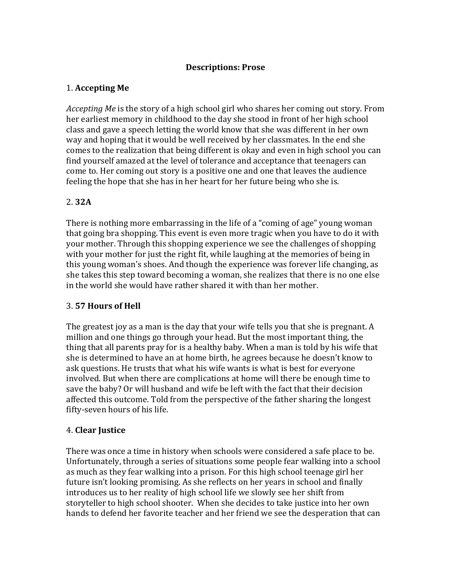### **Descriptions: Prose**

## 1. **Accepting Me**

*Accepting Me* is the story of a high school girl who shares her coming out story. From her earliest memory in childhood to the day she stood in front of her high school class and gave a speech letting the world know that she was different in her own way and hoping that it would be well received by her classmates. In the end she comes to the realization that being different is okay and even in high school you can find yourself amazed at the level of tolerance and acceptance that teenagers can come to. Her coming out story is a positive one and one that leaves the audience feeling the hope that she has in her heart for her future being who she is.

## 2. **32A**

There is nothing more embarrassing in the life of a "coming of age" young woman that going bra shopping. This event is even more tragic when you have to do it with your mother. Through this shopping experience we see the challenges of shopping with your mother for just the right fit, while laughing at the memories of being in this young woman's shoes. And though the experience was forever life changing, as she takes this step toward becoming a woman, she realizes that there is no one else in the world she would have rather shared it with than her mother.

### 3. **57 Hours of Hell**

The greatest joy as a man is the day that your wife tells you that she is pregnant. A million and one things go through your head. But the most important thing, the thing that all parents pray for is a healthy baby. When a man is told by his wife that she is determined to have an at home birth, he agrees because he doesn't know to ask questions. He trusts that what his wife wants is what is best for everyone involved. But when there are complications at home will there be enough time to save the baby? Or will husband and wife be left with the fact that their decision affected this outcome. Told from the perspective of the father sharing the longest fifty-seven hours of his life.

### 4. **Clear Justice**

There was once a time in history when schools were considered a safe place to be. Unfortunately, through a series of situations some people fear walking into a school as much as they fear walking into a prison. For this high school teenage girl her future isn't looking promising. As she reflects on her years in school and finally introduces us to her reality of high school life we slowly see her shift from storyteller to high school shooter. When she decides to take justice into her own hands to defend her favorite teacher and her friend we see the desperation that can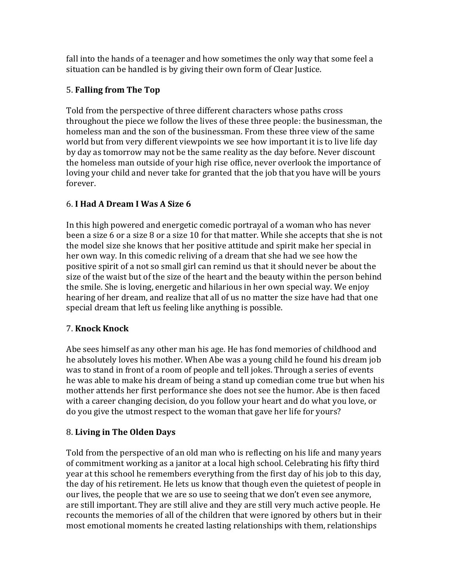fall into the hands of a teenager and how sometimes the only way that some feel a situation can be handled is by giving their own form of Clear Justice.

# 5. **Falling from The Top**

Told from the perspective of three different characters whose paths cross throughout the piece we follow the lives of these three people: the businessman, the homeless man and the son of the businessman. From these three view of the same world but from very different viewpoints we see how important it is to live life day by day as tomorrow may not be the same reality as the day before. Never discount the homeless man outside of your high rise office, never overlook the importance of loving your child and never take for granted that the job that you have will be yours forever. 

# 6. **I Had A Dream I Was A Size 6**

In this high powered and energetic comedic portrayal of a woman who has never been a size 6 or a size 8 or a size 10 for that matter. While she accepts that she is not the model size she knows that her positive attitude and spirit make her special in her own way. In this comedic reliving of a dream that she had we see how the positive spirit of a not so small girl can remind us that it should never be about the size of the waist but of the size of the heart and the beauty within the person behind the smile. She is loving, energetic and hilarious in her own special way. We enjoy hearing of her dream, and realize that all of us no matter the size have had that one special dream that left us feeling like anything is possible.

# 7. **Knock Knock**

Abe sees himself as any other man his age. He has fond memories of childhood and he absolutely loves his mother. When Abe was a young child he found his dream job was to stand in front of a room of people and tell jokes. Through a series of events he was able to make his dream of being a stand up comedian come true but when his mother attends her first performance she does not see the humor. Abe is then faced with a career changing decision, do you follow your heart and do what you love, or do you give the utmost respect to the woman that gave her life for yours?

# 8. **Living in The Olden Days**

Told from the perspective of an old man who is reflecting on his life and many years of commitment working as a janitor at a local high school. Celebrating his fifty third year at this school he remembers everything from the first day of his job to this day, the day of his retirement. He lets us know that though even the quietest of people in our lives, the people that we are so use to seeing that we don't even see anymore, are still important. They are still alive and they are still very much active people. He recounts the memories of all of the children that were ignored by others but in their most emotional moments he created lasting relationships with them, relationships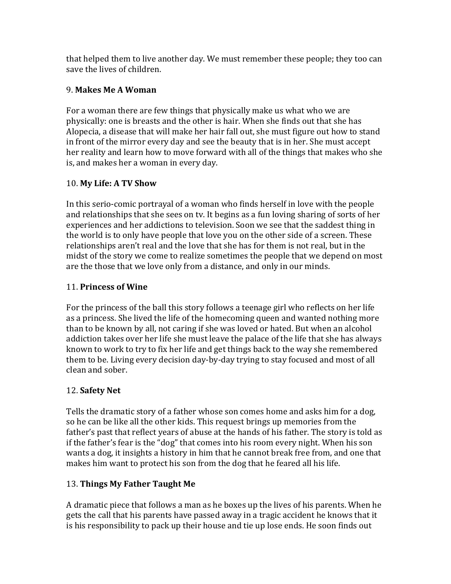that helped them to live another day. We must remember these people; they too can save the lives of children.

# 9. **Makes Me A Woman**

For a woman there are few things that physically make us what who we are physically: one is breasts and the other is hair. When she finds out that she has Alopecia, a disease that will make her hair fall out, she must figure out how to stand in front of the mirror every day and see the beauty that is in her. She must accept her reality and learn how to move forward with all of the things that makes who she is, and makes her a woman in every day.

## 10. **My Life: A TV Show**

In this serio-comic portrayal of a woman who finds herself in love with the people and relationships that she sees on tv. It begins as a fun loving sharing of sorts of her experiences and her addictions to television. Soon we see that the saddest thing in the world is to only have people that love you on the other side of a screen. These relationships aren't real and the love that she has for them is not real, but in the midst of the story we come to realize sometimes the people that we depend on most are the those that we love only from a distance, and only in our minds.

## 11. **Princess of Wine**

For the princess of the ball this story follows a teenage girl who reflects on her life as a princess. She lived the life of the homecoming queen and wanted nothing more than to be known by all, not caring if she was loved or hated. But when an alcohol addiction takes over her life she must leave the palace of the life that she has always known to work to try to fix her life and get things back to the way she remembered them to be. Living every decision day-by-day trying to stay focused and most of all clean and sober.

# 12. **Safety Net**

Tells the dramatic story of a father whose son comes home and asks him for a dog, so he can be like all the other kids. This request brings up memories from the father's past that reflect years of abuse at the hands of his father. The story is told as if the father's fear is the "dog" that comes into his room every night. When his son wants a dog, it insights a history in him that he cannot break free from, and one that makes him want to protect his son from the dog that he feared all his life.

# 13. **Things My Father Taught Me**

A dramatic piece that follows a man as he boxes up the lives of his parents. When he gets the call that his parents have passed away in a tragic accident he knows that it is his responsibility to pack up their house and tie up lose ends. He soon finds out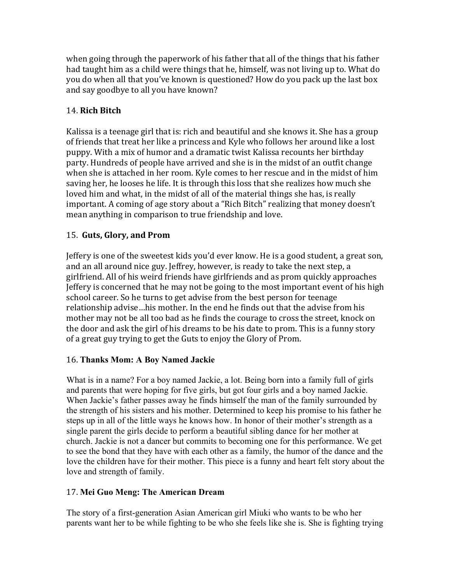when going through the paperwork of his father that all of the things that his father had taught him as a child were things that he, himself, was not living up to. What do you do when all that you've known is questioned? How do you pack up the last box and say goodbye to all you have known?

## 14. **Rich Bitch**

Kalissa is a teenage girl that is: rich and beautiful and she knows it. She has a group of friends that treat her like a princess and Kyle who follows her around like a lost puppy. With a mix of humor and a dramatic twist Kalissa recounts her birthday party. Hundreds of people have arrived and she is in the midst of an outfit change when she is attached in her room. Kyle comes to her rescue and in the midst of him saving her, he looses he life. It is through this loss that she realizes how much she loved him and what, in the midst of all of the material things she has, is really important. A coming of age story about a "Rich Bitch" realizing that money doesn't mean anything in comparison to true friendship and love.

## 15. Guts, Glory, and Prom

Jeffery is one of the sweetest kids you'd ever know. He is a good student, a great son, and an all around nice guy. Jeffrey, however, is ready to take the next step, a girlfriend. All of his weird friends have girlfriends and as prom quickly approaches Jeffery is concerned that he may not be going to the most important event of his high school career. So he turns to get advise from the best person for teenage relationship advise...his mother. In the end he finds out that the advise from his mother may not be all too bad as he finds the courage to cross the street, knock on the door and ask the girl of his dreams to be his date to prom. This is a funny story of a great guy trying to get the Guts to enjoy the Glory of Prom.

### 16. **Thanks Mom: A Boy Named Jackie**

What is in a name? For a boy named Jackie, a lot. Being born into a family full of girls and parents that were hoping for five girls, but got four girls and a boy named Jackie. When Jackie's father passes away he finds himself the man of the family surrounded by the strength of his sisters and his mother. Determined to keep his promise to his father he steps up in all of the little ways he knows how. In honor of their mother's strength as a single parent the girls decide to perform a beautiful sibling dance for her mother at church. Jackie is not a dancer but commits to becoming one for this performance. We get to see the bond that they have with each other as a family, the humor of the dance and the love the children have for their mother. This piece is a funny and heart felt story about the love and strength of family.

### 17. **Mei Guo Meng: The American Dream**

The story of a first-generation Asian American girl Miuki who wants to be who her parents want her to be while fighting to be who she feels like she is. She is fighting trying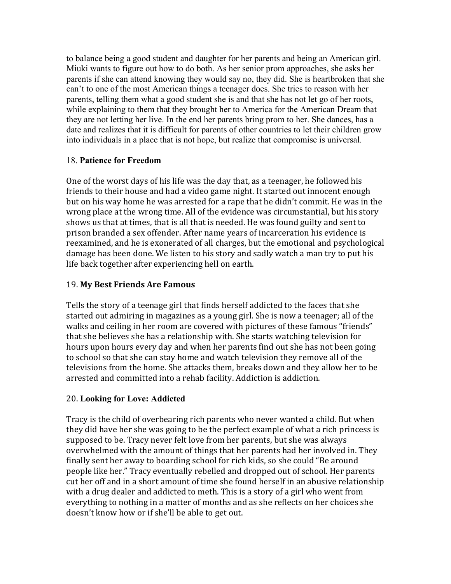to balance being a good student and daughter for her parents and being an American girl. Miuki wants to figure out how to do both. As her senior prom approaches, she asks her parents if she can attend knowing they would say no, they did. She is heartbroken that she can't to one of the most American things a teenager does. She tries to reason with her parents, telling them what a good student she is and that she has not let go of her roots, while explaining to them that they brought her to America for the American Dream that they are not letting her live. In the end her parents bring prom to her. She dances, has a date and realizes that it is difficult for parents of other countries to let their children grow into individuals in a place that is not hope, but realize that compromise is universal.

## 18. **Patience for Freedom**

One of the worst days of his life was the day that, as a teenager, he followed his friends to their house and had a video game night. It started out innocent enough but on his way home he was arrested for a rape that he didn't commit. He was in the wrong place at the wrong time. All of the evidence was circumstantial, but his story shows us that at times, that is all that is needed. He was found guilty and sent to prison branded a sex offender. After name years of incarceration his evidence is reexamined, and he is exonerated of all charges, but the emotional and psychological damage has been done. We listen to his story and sadly watch a man try to put his life back together after experiencing hell on earth.

## 19. **My Best Friends Are Famous**

Tells the story of a teenage girl that finds herself addicted to the faces that she started out admiring in magazines as a young girl. She is now a teenager; all of the walks and ceiling in her room are covered with pictures of these famous "friends" that she believes she has a relationship with. She starts watching television for hours upon hours every day and when her parents find out she has not been going to school so that she can stay home and watch television they remove all of the televisions from the home. She attacks them, breaks down and they allow her to be arrested and committed into a rehab facility. Addiction is addiction.

# 20. **Looking for Love: Addicted**

Tracy is the child of overbearing rich parents who never wanted a child. But when they did have her she was going to be the perfect example of what a rich princess is supposed to be. Tracy never felt love from her parents, but she was always overwhelmed with the amount of things that her parents had her involved in. They finally sent her away to boarding school for rich kids, so she could "Be around people like her." Tracy eventually rebelled and dropped out of school. Her parents cut her off and in a short amount of time she found herself in an abusive relationship with a drug dealer and addicted to meth. This is a story of a girl who went from everything to nothing in a matter of months and as she reflects on her choices she doesn't know how or if she'll be able to get out.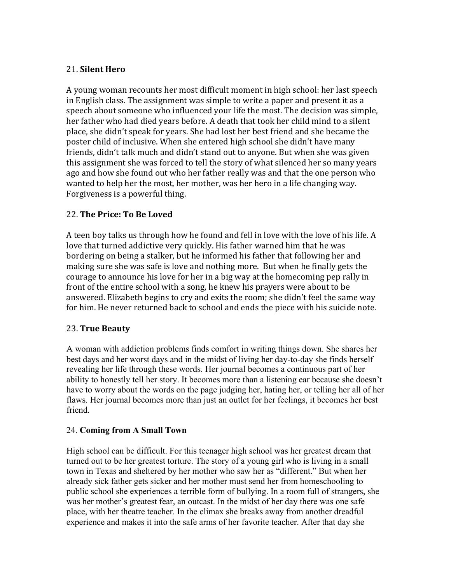### 21. **Silent Hero**

A young woman recounts her most difficult moment in high school: her last speech in English class. The assignment was simple to write a paper and present it as a speech about someone who influenced your life the most. The decision was simple, her father who had died years before. A death that took her child mind to a silent place, she didn't speak for years. She had lost her best friend and she became the poster child of inclusive. When she entered high school she didn't have many friends, didn't talk much and didn't stand out to anyone. But when she was given this assignment she was forced to tell the story of what silenced her so many years ago and how she found out who her father really was and that the one person who wanted to help her the most, her mother, was her hero in a life changing way. Forgiveness is a powerful thing.

## 22. **The Price: To Be Loved**

A teen boy talks us through how he found and fell in love with the love of his life. A love that turned addictive very quickly. His father warned him that he was bordering on being a stalker, but he informed his father that following her and making sure she was safe is love and nothing more. But when he finally gets the courage to announce his love for her in a big way at the homecoming pep rally in front of the entire school with a song, he knew his prayers were about to be answered. Elizabeth begins to cry and exits the room; she didn't feel the same way for him. He never returned back to school and ends the piece with his suicide note.

### 23. **True Beauty**

A woman with addiction problems finds comfort in writing things down. She shares her best days and her worst days and in the midst of living her day-to-day she finds herself revealing her life through these words. Her journal becomes a continuous part of her ability to honestly tell her story. It becomes more than a listening ear because she doesn't have to worry about the words on the page judging her, hating her, or telling her all of her flaws. Her journal becomes more than just an outlet for her feelings, it becomes her best friend.

### 24. **Coming from A Small Town**

High school can be difficult. For this teenager high school was her greatest dream that turned out to be her greatest torture. The story of a young girl who is living in a small town in Texas and sheltered by her mother who saw her as "different." But when her already sick father gets sicker and her mother must send her from homeschooling to public school she experiences a terrible form of bullying. In a room full of strangers, she was her mother's greatest fear, an outcast. In the midst of her day there was one safe place, with her theatre teacher. In the climax she breaks away from another dreadful experience and makes it into the safe arms of her favorite teacher. After that day she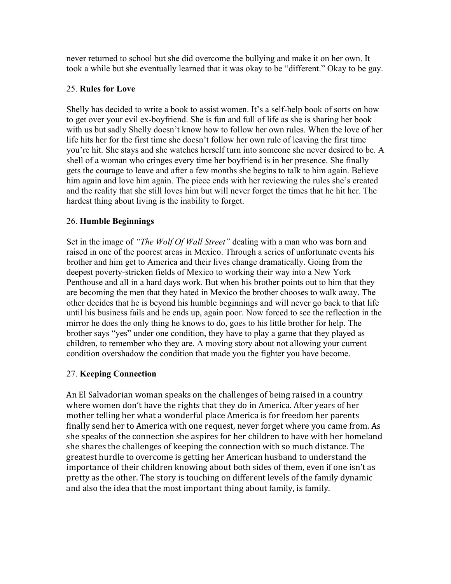never returned to school but she did overcome the bullying and make it on her own. It took a while but she eventually learned that it was okay to be "different." Okay to be gay.

### 25. **Rules for Love**

Shelly has decided to write a book to assist women. It's a self-help book of sorts on how to get over your evil ex-boyfriend. She is fun and full of life as she is sharing her book with us but sadly Shelly doesn't know how to follow her own rules. When the love of her life hits her for the first time she doesn't follow her own rule of leaving the first time you're hit. She stays and she watches herself turn into someone she never desired to be. A shell of a woman who cringes every time her boyfriend is in her presence. She finally gets the courage to leave and after a few months she begins to talk to him again. Believe him again and love him again. The piece ends with her reviewing the rules she's created and the reality that she still loves him but will never forget the times that he hit her. The hardest thing about living is the inability to forget.

### 26. **Humble Beginnings**

Set in the image of *"The Wolf Of Wall Street"* dealing with a man who was born and raised in one of the poorest areas in Mexico. Through a series of unfortunate events his brother and him get to America and their lives change dramatically. Going from the deepest poverty-stricken fields of Mexico to working their way into a New York Penthouse and all in a hard days work. But when his brother points out to him that they are becoming the men that they hated in Mexico the brother chooses to walk away. The other decides that he is beyond his humble beginnings and will never go back to that life until his business fails and he ends up, again poor. Now forced to see the reflection in the mirror he does the only thing he knows to do, goes to his little brother for help. The brother says "yes" under one condition, they have to play a game that they played as children, to remember who they are. A moving story about not allowing your current condition overshadow the condition that made you the fighter you have become.

### 27. **Keeping Connection**

An El Salvadorian woman speaks on the challenges of being raised in a country where women don't have the rights that they do in America. After years of her mother telling her what a wonderful place America is for freedom her parents finally send her to America with one request, never forget where you came from. As she speaks of the connection she aspires for her children to have with her homeland she shares the challenges of keeping the connection with so much distance. The greatest hurdle to overcome is getting her American husband to understand the importance of their children knowing about both sides of them, even if one isn't as pretty as the other. The story is touching on different levels of the family dynamic and also the idea that the most important thing about family, is family.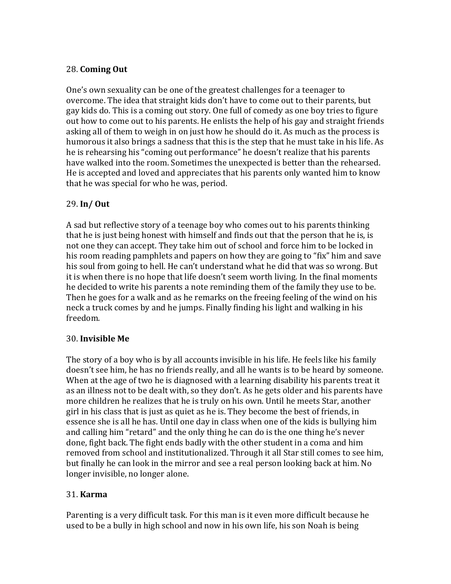## 28. **Coming Out**

One's own sexuality can be one of the greatest challenges for a teenager to overcome. The idea that straight kids don't have to come out to their parents, but gay kids do. This is a coming out story. One full of comedy as one boy tries to figure out how to come out to his parents. He enlists the help of his gay and straight friends asking all of them to weigh in on just how he should do it. As much as the process is humorous it also brings a sadness that this is the step that he must take in his life. As he is rehearsing his "coming out performance" he doesn't realize that his parents have walked into the room. Sometimes the unexpected is better than the rehearsed. He is accepted and loved and appreciates that his parents only wanted him to know that he was special for who he was, period.

### 29. **In/ Out**

A sad but reflective story of a teenage boy who comes out to his parents thinking that he is just being honest with himself and finds out that the person that he is, is not one they can accept. They take him out of school and force him to be locked in his room reading pamphlets and papers on how they are going to "fix" him and save his soul from going to hell. He can't understand what he did that was so wrong. But it is when there is no hope that life doesn't seem worth living. In the final moments he decided to write his parents a note reminding them of the family they use to be. Then he goes for a walk and as he remarks on the freeing feeling of the wind on his neck a truck comes by and he jumps. Finally finding his light and walking in his freedom.

### 30. **Invisible Me**

The story of a boy who is by all accounts invisible in his life. He feels like his family doesn't see him, he has no friends really, and all he wants is to be heard by someone. When at the age of two he is diagnosed with a learning disability his parents treat it as an illness not to be dealt with, so they don't. As he gets older and his parents have more children he realizes that he is truly on his own. Until he meets Star, another girl in his class that is just as quiet as he is. They become the best of friends, in essence she is all he has. Until one day in class when one of the kids is bullying him and calling him "retard" and the only thing he can do is the one thing he's never done, fight back. The fight ends badly with the other student in a coma and him removed from school and institutionalized. Through it all Star still comes to see him, but finally he can look in the mirror and see a real person looking back at him. No longer invisible, no longer alone.

# 31. **Karma**

Parenting is a very difficult task. For this man is it even more difficult because he used to be a bully in high school and now in his own life, his son Noah is being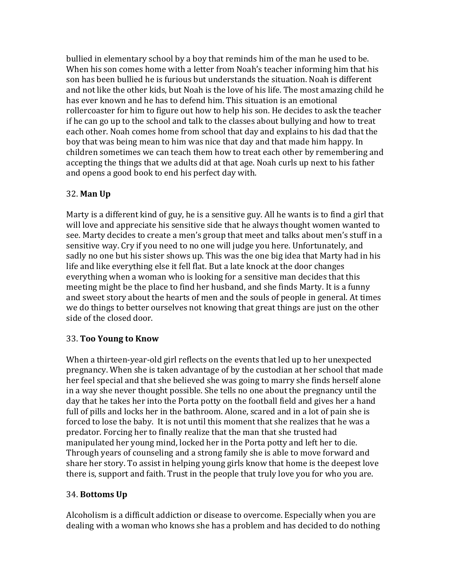bullied in elementary school by a boy that reminds him of the man he used to be. When his son comes home with a letter from Noah's teacher informing him that his son has been bullied he is furious but understands the situation. Noah is different and not like the other kids, but Noah is the love of his life. The most amazing child he has ever known and he has to defend him. This situation is an emotional rollercoaster for him to figure out how to help his son. He decides to ask the teacher if he can go up to the school and talk to the classes about bullying and how to treat each other. Noah comes home from school that day and explains to his dad that the boy that was being mean to him was nice that day and that made him happy. In children sometimes we can teach them how to treat each other by remembering and accepting the things that we adults did at that age. Noah curls up next to his father and opens a good book to end his perfect day with.

# 32. **Man Up**

Marty is a different kind of guy, he is a sensitive guy. All he wants is to find a girl that will love and appreciate his sensitive side that he always thought women wanted to see. Marty decides to create a men's group that meet and talks about men's stuff in a sensitive way. Cry if you need to no one will judge you here. Unfortunately, and sadly no one but his sister shows up. This was the one big idea that Marty had in his life and like everything else it fell flat. But a late knock at the door changes everything when a woman who is looking for a sensitive man decides that this meeting might be the place to find her husband, and she finds Marty. It is a funny and sweet story about the hearts of men and the souls of people in general. At times we do things to better ourselves not knowing that great things are just on the other side of the closed door.

# 33. **Too Young to Know**

When a thirteen-year-old girl reflects on the events that led up to her unexpected pregnancy. When she is taken advantage of by the custodian at her school that made her feel special and that she believed she was going to marry she finds herself alone in a way she never thought possible. She tells no one about the pregnancy until the day that he takes her into the Porta potty on the football field and gives her a hand full of pills and locks her in the bathroom. Alone, scared and in a lot of pain she is forced to lose the baby. It is not until this moment that she realizes that he was a predator. Forcing her to finally realize that the man that she trusted had manipulated her young mind, locked her in the Porta potty and left her to die. Through years of counseling and a strong family she is able to move forward and share her story. To assist in helping young girls know that home is the deepest love there is, support and faith. Trust in the people that truly love you for who you are.

# 34. **Bottoms Up**

Alcoholism is a difficult addiction or disease to overcome. Especially when you are dealing with a woman who knows she has a problem and has decided to do nothing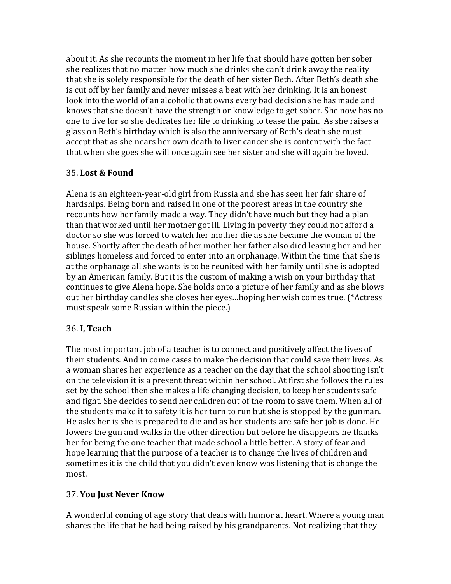about it. As she recounts the moment in her life that should have gotten her sober she realizes that no matter how much she drinks she can't drink away the reality that she is solely responsible for the death of her sister Beth. After Beth's death she is cut off by her family and never misses a beat with her drinking. It is an honest look into the world of an alcoholic that owns every bad decision she has made and knows that she doesn't have the strength or knowledge to get sober. She now has no one to live for so she dedicates her life to drinking to tease the pain. As she raises a glass on Beth's birthday which is also the anniversary of Beth's death she must accept that as she nears her own death to liver cancer she is content with the fact that when she goes she will once again see her sister and she will again be loved.

### 35. **Lost & Found**

Alena is an eighteen-year-old girl from Russia and she has seen her fair share of hardships. Being born and raised in one of the poorest areas in the country she recounts how her family made a way. They didn't have much but they had a plan than that worked until her mother got ill. Living in poverty they could not afford a doctor so she was forced to watch her mother die as she became the woman of the house. Shortly after the death of her mother her father also died leaving her and her siblings homeless and forced to enter into an orphanage. Within the time that she is at the orphanage all she wants is to be reunited with her family until she is adopted by an American family. But it is the custom of making a wish on your birthday that continues to give Alena hope. She holds onto a picture of her family and as she blows out her birthday candles she closes her eyes...hoping her wish comes true. (\*Actress must speak some Russian within the piece.)

### 36. **I, Teach**

The most important job of a teacher is to connect and positively affect the lives of their students. And in come cases to make the decision that could save their lives. As a woman shares her experience as a teacher on the day that the school shooting isn't on the television it is a present threat within her school. At first she follows the rules set by the school then she makes a life changing decision, to keep her students safe and fight. She decides to send her children out of the room to save them. When all of the students make it to safety it is her turn to run but she is stopped by the gunman. He asks her is she is prepared to die and as her students are safe her job is done. He lowers the gun and walks in the other direction but before he disappears he thanks her for being the one teacher that made school a little better. A story of fear and hope learning that the purpose of a teacher is to change the lives of children and sometimes it is the child that you didn't even know was listening that is change the most. 

### 37. **You Just Never Know**

A wonderful coming of age story that deals with humor at heart. Where a young man shares the life that he had being raised by his grandparents. Not realizing that they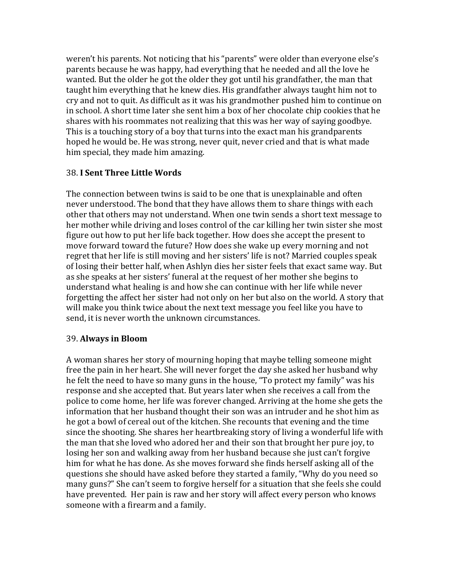weren't his parents. Not noticing that his "parents" were older than everyone else's parents because he was happy, had everything that he needed and all the love he wanted. But the older he got the older they got until his grandfather, the man that taught him everything that he knew dies. His grandfather always taught him not to cry and not to quit. As difficult as it was his grandmother pushed him to continue on in school. A short time later she sent him a box of her chocolate chip cookies that he shares with his roommates not realizing that this was her way of saying goodbye. This is a touching story of a boy that turns into the exact man his grandparents hoped he would be. He was strong, never quit, never cried and that is what made him special, they made him amazing.

### 38. **I Sent Three Little Words**

The connection between twins is said to be one that is unexplainable and often never understood. The bond that they have allows them to share things with each other that others may not understand. When one twin sends a short text message to her mother while driving and loses control of the car killing her twin sister she most figure out how to put her life back together. How does she accept the present to move forward toward the future? How does she wake up every morning and not regret that her life is still moving and her sisters' life is not? Married couples speak of losing their better half, when Ashlyn dies her sister feels that exact same way. But as she speaks at her sisters' funeral at the request of her mother she begins to understand what healing is and how she can continue with her life while never forgetting the affect her sister had not only on her but also on the world. A story that will make you think twice about the next text message you feel like you have to send, it is never worth the unknown circumstances.

#### 39. **Always in Bloom**

A woman shares her story of mourning hoping that maybe telling someone might free the pain in her heart. She will never forget the day she asked her husband why he felt the need to have so many guns in the house, "To protect my family" was his response and she accepted that. But years later when she receives a call from the police to come home, her life was forever changed. Arriving at the home she gets the information that her husband thought their son was an intruder and he shot him as he got a bowl of cereal out of the kitchen. She recounts that evening and the time since the shooting. She shares her heartbreaking story of living a wonderful life with the man that she loved who adored her and their son that brought her pure joy, to losing her son and walking away from her husband because she just can't forgive him for what he has done. As she moves forward she finds herself asking all of the questions she should have asked before they started a family, "Why do you need so many guns?" She can't seem to forgive herself for a situation that she feels she could have prevented. Her pain is raw and her story will affect every person who knows someone with a firearm and a family.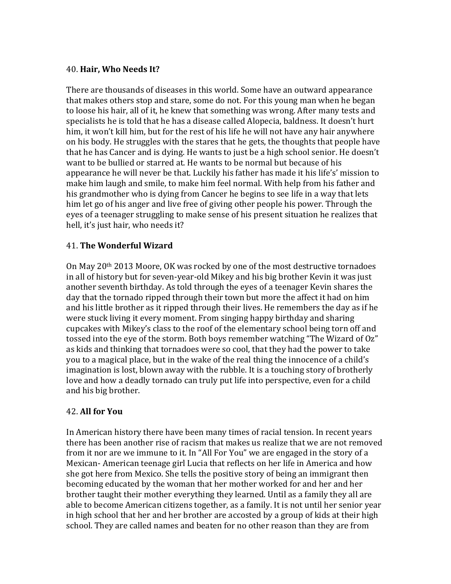### 40. **Hair, Who Needs It?**

There are thousands of diseases in this world. Some have an outward appearance that makes others stop and stare, some do not. For this young man when he began to loose his hair, all of it, he knew that something was wrong. After many tests and specialists he is told that he has a disease called Alopecia, baldness. It doesn't hurt him, it won't kill him, but for the rest of his life he will not have any hair anywhere on his body. He struggles with the stares that he gets, the thoughts that people have that he has Cancer and is dying. He wants to just be a high school senior. He doesn't want to be bullied or starred at. He wants to be normal but because of his appearance he will never be that. Luckily his father has made it his life's' mission to make him laugh and smile, to make him feel normal. With help from his father and his grandmother who is dying from Cancer he begins to see life in a way that lets him let go of his anger and live free of giving other people his power. Through the eyes of a teenager struggling to make sense of his present situation he realizes that hell, it's just hair, who needs it?

### 41. **The Wonderful Wizard**

On May  $20<sup>th</sup> 2013$  Moore, OK was rocked by one of the most destructive tornadoes in all of history but for seven-year-old Mikey and his big brother Kevin it was just another seventh birthday. As told through the eyes of a teenager Kevin shares the day that the tornado ripped through their town but more the affect it had on him and his little brother as it ripped through their lives. He remembers the day as if he were stuck living it every moment. From singing happy birthday and sharing cupcakes with Mikey's class to the roof of the elementary school being torn off and tossed into the eye of the storm. Both boys remember watching "The Wizard of Oz" as kids and thinking that tornadoes were so cool, that they had the power to take you to a magical place, but in the wake of the real thing the innocence of a child's imagination is lost, blown away with the rubble. It is a touching story of brotherly love and how a deadly tornado can truly put life into perspective, even for a child and his big brother.

### 42. **All for You**

In American history there have been many times of racial tension. In recent years there has been another rise of racism that makes us realize that we are not removed from it nor are we immune to it. In "All For You" we are engaged in the story of a Mexican- American teenage girl Lucia that reflects on her life in America and how she got here from Mexico. She tells the positive story of being an immigrant then becoming educated by the woman that her mother worked for and her and her brother taught their mother everything they learned. Until as a family they all are able to become American citizens together, as a family. It is not until her senior year in high school that her and her brother are accosted by a group of kids at their high school. They are called names and beaten for no other reason than they are from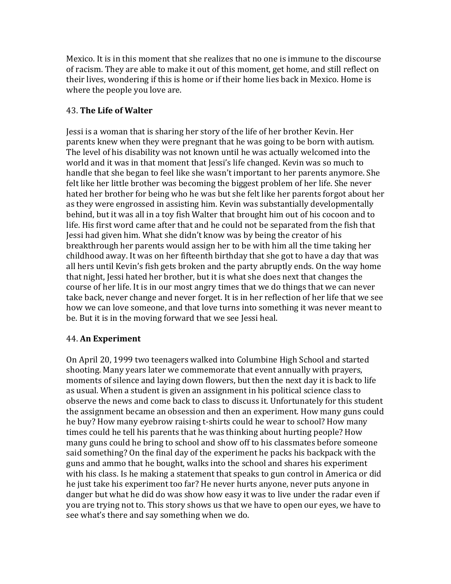Mexico. It is in this moment that she realizes that no one is immune to the discourse of racism. They are able to make it out of this moment, get home, and still reflect on their lives, wondering if this is home or if their home lies back in Mexico. Home is where the people you love are.

### 43. **The Life of Walter**

Jessi is a woman that is sharing her story of the life of her brother Kevin. Her parents knew when they were pregnant that he was going to be born with autism. The level of his disability was not known until he was actually welcomed into the world and it was in that moment that Jessi's life changed. Kevin was so much to handle that she began to feel like she wasn't important to her parents anymore. She felt like her little brother was becoming the biggest problem of her life. She never hated her brother for being who he was but she felt like her parents forgot about her as they were engrossed in assisting him. Kevin was substantially developmentally behind, but it was all in a toy fish Walter that brought him out of his cocoon and to life. His first word came after that and he could not be separated from the fish that Jessi had given him. What she didn't know was by being the creator of his breakthrough her parents would assign her to be with him all the time taking her childhood away. It was on her fifteenth birthday that she got to have a day that was all hers until Kevin's fish gets broken and the party abruptly ends. On the way home that night, Jessi hated her brother, but it is what she does next that changes the course of her life. It is in our most angry times that we do things that we can never take back, never change and never forget. It is in her reflection of her life that we see how we can love someone, and that love turns into something it was never meant to be. But it is in the moving forward that we see Jessi heal.

# 44. **An Experiment**

On April 20, 1999 two teenagers walked into Columbine High School and started shooting. Many years later we commemorate that event annually with prayers, moments of silence and laying down flowers, but then the next day it is back to life as usual. When a student is given an assignment in his political science class to observe the news and come back to class to discuss it. Unfortunately for this student the assignment became an obsession and then an experiment. How many guns could he buy? How many eyebrow raising t-shirts could he wear to school? How many times could he tell his parents that he was thinking about hurting people? How many guns could he bring to school and show off to his classmates before someone said something? On the final day of the experiment he packs his backpack with the guns and ammo that he bought, walks into the school and shares his experiment with his class. Is he making a statement that speaks to gun control in America or did he just take his experiment too far? He never hurts anyone, never puts anyone in danger but what he did do was show how easy it was to live under the radar even if you are trying not to. This story shows us that we have to open our eyes, we have to see what's there and say something when we do.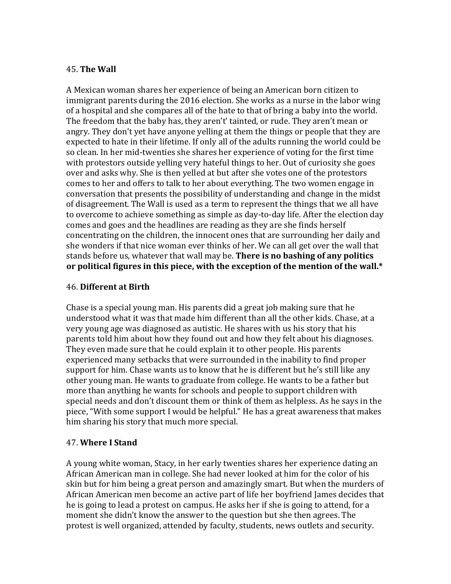### 45. **The Wall**

A Mexican woman shares her experience of being an American born citizen to immigrant parents during the 2016 election. She works as a nurse in the labor wing of a hospital and she compares all of the hate to that of bring a baby into the world. The freedom that the baby has, they aren't' tainted, or rude. They aren't mean or angry. They don't yet have anyone yelling at them the things or people that they are expected to hate in their lifetime. If only all of the adults running the world could be so clean. In her mid-twenties she shares her experience of voting for the first time with protestors outside yelling very hateful things to her. Out of curiosity she goes over and asks why. She is then yelled at but after she votes one of the protestors comes to her and offers to talk to her about everything. The two women engage in conversation that presents the possibility of understanding and change in the midst of disagreement. The Wall is used as a term to represent the things that we all have to overcome to achieve something as simple as day-to-day life. After the election day comes and goes and the headlines are reading as they are she finds herself concentrating on the children, the innocent ones that are surrounding her daily and she wonders if that nice woman ever thinks of her. We can all get over the wall that stands before us, whatever that wall may be. **There is no bashing of any politics** or political figures in this piece, with the exception of the mention of the wall.<sup>\*</sup>

### 46. **Different at Birth**

Chase is a special young man. His parents did a great job making sure that he understood what it was that made him different than all the other kids. Chase, at a very young age was diagnosed as autistic. He shares with us his story that his parents told him about how they found out and how they felt about his diagnoses. They even made sure that he could explain it to other people. His parents experienced many setbacks that were surrounded in the inability to find proper support for him. Chase wants us to know that he is different but he's still like any other young man. He wants to graduate from college. He wants to be a father but more than anything he wants for schools and people to support children with special needs and don't discount them or think of them as helpless. As he says in the piece, "With some support I would be helpful." He has a great awareness that makes him sharing his story that much more special.

#### 47. **Where I Stand**

A young white woman, Stacy, in her early twenties shares her experience dating an African American man in college. She had never looked at him for the color of his skin but for him being a great person and amazingly smart. But when the murders of African American men become an active part of life her boyfriend James decides that he is going to lead a protest on campus. He asks her if she is going to attend, for a moment she didn't know the answer to the question but she then agrees. The protest is well organized, attended by faculty, students, news outlets and security.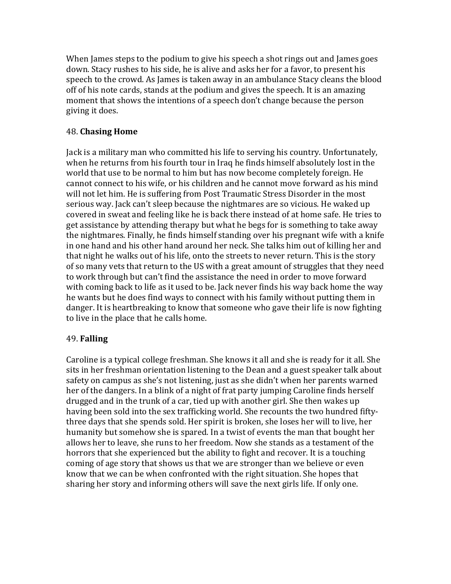When James steps to the podium to give his speech a shot rings out and James goes down. Stacy rushes to his side, he is alive and asks her for a favor, to present his speech to the crowd. As James is taken away in an ambulance Stacy cleans the blood off of his note cards, stands at the podium and gives the speech. It is an amazing moment that shows the intentions of a speech don't change because the person giving it does.

### 48. **Chasing Home**

Jack is a military man who committed his life to serving his country. Unfortunately, when he returns from his fourth tour in Iraq he finds himself absolutely lost in the world that use to be normal to him but has now become completely foreign. He cannot connect to his wife, or his children and he cannot move forward as his mind will not let him. He is suffering from Post Traumatic Stress Disorder in the most serious way. Jack can't sleep because the nightmares are so vicious. He waked up covered in sweat and feeling like he is back there instead of at home safe. He tries to get assistance by attending therapy but what he begs for is something to take away the nightmares. Finally, he finds himself standing over his pregnant wife with a knife in one hand and his other hand around her neck. She talks him out of killing her and that night he walks out of his life, onto the streets to never return. This is the story of so many vets that return to the US with a great amount of struggles that they need to work through but can't find the assistance the need in order to move forward with coming back to life as it used to be. Jack never finds his way back home the way he wants but he does find ways to connect with his family without putting them in danger. It is heartbreaking to know that someone who gave their life is now fighting to live in the place that he calls home.

# 49. **Falling**

Caroline is a typical college freshman. She knows it all and she is ready for it all. She sits in her freshman orientation listening to the Dean and a guest speaker talk about safety on campus as she's not listening, just as she didn't when her parents warned her of the dangers. In a blink of a night of frat party jumping Caroline finds herself drugged and in the trunk of a car, tied up with another girl. She then wakes up having been sold into the sex trafficking world. She recounts the two hundred fiftythree days that she spends sold. Her spirit is broken, she loses her will to live, her humanity but somehow she is spared. In a twist of events the man that bought her allows her to leave, she runs to her freedom. Now she stands as a testament of the horrors that she experienced but the ability to fight and recover. It is a touching coming of age story that shows us that we are stronger than we believe or even know that we can be when confronted with the right situation. She hopes that sharing her story and informing others will save the next girls life. If only one.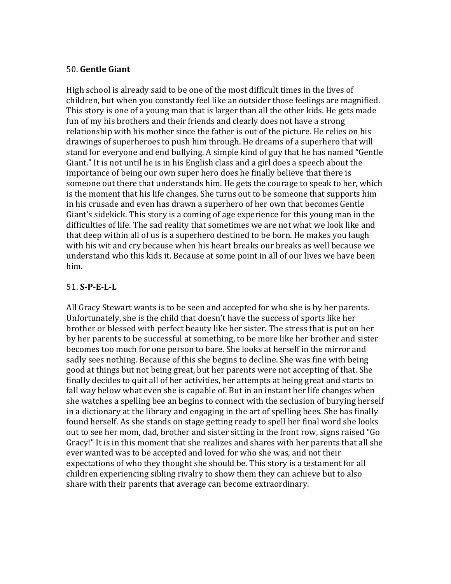#### 50. **Gentle Giant**

High school is already said to be one of the most difficult times in the lives of children, but when you constantly feel like an outsider those feelings are magnified. This story is one of a young man that is larger than all the other kids. He gets made fun of my his brothers and their friends and clearly does not have a strong relationship with his mother since the father is out of the picture. He relies on his drawings of superheroes to push him through. He dreams of a superhero that will stand for everyone and end bullying. A simple kind of guy that he has named "Gentle Giant." It is not until he is in his English class and a girl does a speech about the importance of being our own super hero does he finally believe that there is someone out there that understands him. He gets the courage to speak to her, which is the moment that his life changes. She turns out to be someone that supports him in his crusade and even has drawn a superhero of her own that becomes Gentle Giant's sidekick. This story is a coming of age experience for this young man in the difficulties of life. The sad reality that sometimes we are not what we look like and that deep within all of us is a superhero destined to be born. He makes you laugh with his wit and cry because when his heart breaks our breaks as well because we understand who this kids it. Because at some point in all of our lives we have been him.

### 51. **S-P-E-L-L**

All Gracy Stewart wants is to be seen and accepted for who she is by her parents. Unfortunately, she is the child that doesn't have the success of sports like her brother or blessed with perfect beauty like her sister. The stress that is put on her by her parents to be successful at something, to be more like her brother and sister becomes too much for one person to bare. She looks at herself in the mirror and sadly sees nothing. Because of this she begins to decline. She was fine with being good at things but not being great, but her parents were not accepting of that. She finally decides to quit all of her activities, her attempts at being great and starts to fall way below what even she is capable of. But in an instant her life changes when she watches a spelling bee an begins to connect with the seclusion of burying herself in a dictionary at the library and engaging in the art of spelling bees. She has finally found herself. As she stands on stage getting ready to spell her final word she looks out to see her mom, dad, brother and sister sitting in the front row, signs raised "Go Gracy!" It is in this moment that she realizes and shares with her parents that all she ever wanted was to be accepted and loved for who she was, and not their expectations of who they thought she should be. This story is a testament for all children experiencing sibling rivalry to show them they can achieve but to also share with their parents that average can become extraordinary.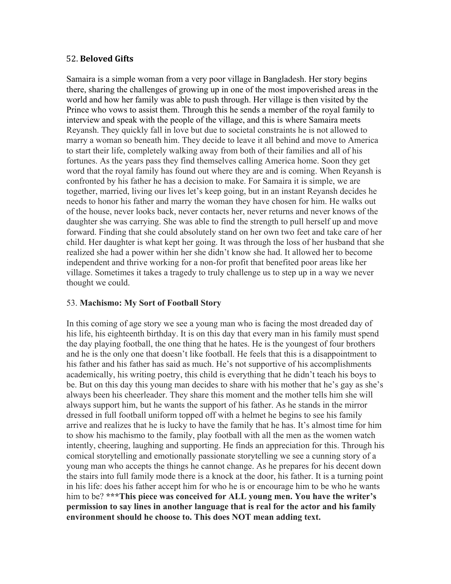#### 52. **Beloved Gifts**

Samaira is a simple woman from a very poor village in Bangladesh. Her story begins there, sharing the challenges of growing up in one of the most impoverished areas in the world and how her family was able to push through. Her village is then visited by the Prince who vows to assist them. Through this he sends a member of the royal family to interview and speak with the people of the village, and this is where Samaira meets Reyansh. They quickly fall in love but due to societal constraints he is not allowed to marry a woman so beneath him. They decide to leave it all behind and move to America to start their life, completely walking away from both of their families and all of his fortunes. As the years pass they find themselves calling America home. Soon they get word that the royal family has found out where they are and is coming. When Reyansh is confronted by his father he has a decision to make. For Samaira it is simple, we are together, married, living our lives let's keep going, but in an instant Reyansh decides he needs to honor his father and marry the woman they have chosen for him. He walks out of the house, never looks back, never contacts her, never returns and never knows of the daughter she was carrying. She was able to find the strength to pull herself up and move forward. Finding that she could absolutely stand on her own two feet and take care of her child. Her daughter is what kept her going. It was through the loss of her husband that she realized she had a power within her she didn't know she had. It allowed her to become independent and thrive working for a non-for profit that benefited poor areas like her village. Sometimes it takes a tragedy to truly challenge us to step up in a way we never thought we could.

#### 53. **Machismo: My Sort of Football Story**

In this coming of age story we see a young man who is facing the most dreaded day of his life, his eighteenth birthday. It is on this day that every man in his family must spend the day playing football, the one thing that he hates. He is the youngest of four brothers and he is the only one that doesn't like football. He feels that this is a disappointment to his father and his father has said as much. He's not supportive of his accomplishments academically, his writing poetry, this child is everything that he didn't teach his boys to be. But on this day this young man decides to share with his mother that he's gay as she's always been his cheerleader. They share this moment and the mother tells him she will always support him, but he wants the support of his father. As he stands in the mirror dressed in full football uniform topped off with a helmet he begins to see his family arrive and realizes that he is lucky to have the family that he has. It's almost time for him to show his machismo to the family, play football with all the men as the women watch intently, cheering, laughing and supporting. He finds an appreciation for this. Through his comical storytelling and emotionally passionate storytelling we see a cunning story of a young man who accepts the things he cannot change. As he prepares for his decent down the stairs into full family mode there is a knock at the door, his father. It is a turning point in his life: does his father accept him for who he is or encourage him to be who he wants him to be? **\*\*\*This piece was conceived for ALL young men. You have the writer's permission to say lines in another language that is real for the actor and his family environment should he choose to. This does NOT mean adding text.**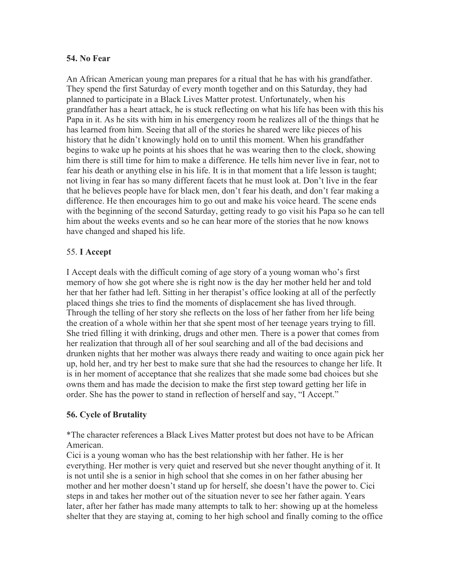#### **54. No Fear**

An African American young man prepares for a ritual that he has with his grandfather. They spend the first Saturday of every month together and on this Saturday, they had planned to participate in a Black Lives Matter protest. Unfortunately, when his grandfather has a heart attack, he is stuck reflecting on what his life has been with this his Papa in it. As he sits with him in his emergency room he realizes all of the things that he has learned from him. Seeing that all of the stories he shared were like pieces of his history that he didn't knowingly hold on to until this moment. When his grandfather begins to wake up he points at his shoes that he was wearing then to the clock, showing him there is still time for him to make a difference. He tells him never live in fear, not to fear his death or anything else in his life. It is in that moment that a life lesson is taught; not living in fear has so many different facets that he must look at. Don't live in the fear that he believes people have for black men, don't fear his death, and don't fear making a difference. He then encourages him to go out and make his voice heard. The scene ends with the beginning of the second Saturday, getting ready to go visit his Papa so he can tell him about the weeks events and so he can hear more of the stories that he now knows have changed and shaped his life.

### 55. **I Accept**

I Accept deals with the difficult coming of age story of a young woman who's first memory of how she got where she is right now is the day her mother held her and told her that her father had left. Sitting in her therapist's office looking at all of the perfectly placed things she tries to find the moments of displacement she has lived through. Through the telling of her story she reflects on the loss of her father from her life being the creation of a whole within her that she spent most of her teenage years trying to fill. She tried filling it with drinking, drugs and other men. There is a power that comes from her realization that through all of her soul searching and all of the bad decisions and drunken nights that her mother was always there ready and waiting to once again pick her up, hold her, and try her best to make sure that she had the resources to change her life. It is in her moment of acceptance that she realizes that she made some bad choices but she owns them and has made the decision to make the first step toward getting her life in order. She has the power to stand in reflection of herself and say, "I Accept."

### **56. Cycle of Brutality**

\*The character references a Black Lives Matter protest but does not have to be African American.

Cici is a young woman who has the best relationship with her father. He is her everything. Her mother is very quiet and reserved but she never thought anything of it. It is not until she is a senior in high school that she comes in on her father abusing her mother and her mother doesn't stand up for herself, she doesn't have the power to. Cici steps in and takes her mother out of the situation never to see her father again. Years later, after her father has made many attempts to talk to her: showing up at the homeless shelter that they are staying at, coming to her high school and finally coming to the office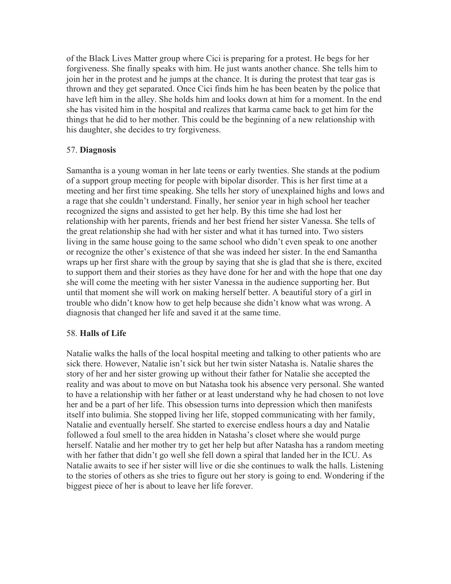of the Black Lives Matter group where Cici is preparing for a protest. He begs for her forgiveness. She finally speaks with him. He just wants another chance. She tells him to join her in the protest and he jumps at the chance. It is during the protest that tear gas is thrown and they get separated. Once Cici finds him he has been beaten by the police that have left him in the alley. She holds him and looks down at him for a moment. In the end she has visited him in the hospital and realizes that karma came back to get him for the things that he did to her mother. This could be the beginning of a new relationship with his daughter, she decides to try forgiveness.

#### 57. **Diagnosis**

Samantha is a young woman in her late teens or early twenties. She stands at the podium of a support group meeting for people with bipolar disorder. This is her first time at a meeting and her first time speaking. She tells her story of unexplained highs and lows and a rage that she couldn't understand. Finally, her senior year in high school her teacher recognized the signs and assisted to get her help. By this time she had lost her relationship with her parents, friends and her best friend her sister Vanessa. She tells of the great relationship she had with her sister and what it has turned into. Two sisters living in the same house going to the same school who didn't even speak to one another or recognize the other's existence of that she was indeed her sister. In the end Samantha wraps up her first share with the group by saying that she is glad that she is there, excited to support them and their stories as they have done for her and with the hope that one day she will come the meeting with her sister Vanessa in the audience supporting her. But until that moment she will work on making herself better. A beautiful story of a girl in trouble who didn't know how to get help because she didn't know what was wrong. A diagnosis that changed her life and saved it at the same time.

#### 58. **Halls of Life**

Natalie walks the halls of the local hospital meeting and talking to other patients who are sick there. However, Natalie isn't sick but her twin sister Natasha is. Natalie shares the story of her and her sister growing up without their father for Natalie she accepted the reality and was about to move on but Natasha took his absence very personal. She wanted to have a relationship with her father or at least understand why he had chosen to not love her and be a part of her life. This obsession turns into depression which then manifests itself into bulimia. She stopped living her life, stopped communicating with her family, Natalie and eventually herself. She started to exercise endless hours a day and Natalie followed a foul smell to the area hidden in Natasha's closet where she would purge herself. Natalie and her mother try to get her help but after Natasha has a random meeting with her father that didn't go well she fell down a spiral that landed her in the ICU. As Natalie awaits to see if her sister will live or die she continues to walk the halls. Listening to the stories of others as she tries to figure out her story is going to end. Wondering if the biggest piece of her is about to leave her life forever.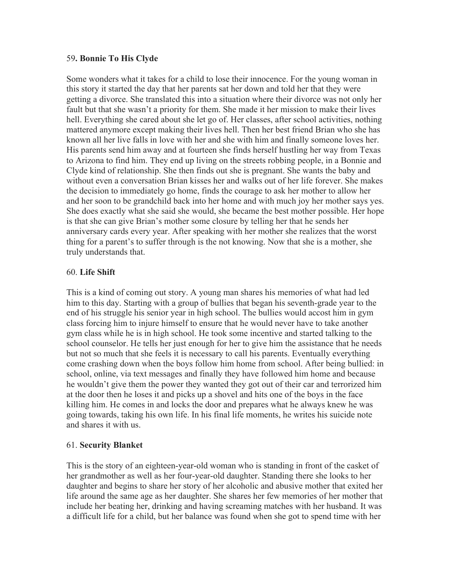#### 59**. Bonnie To His Clyde**

Some wonders what it takes for a child to lose their innocence. For the young woman in this story it started the day that her parents sat her down and told her that they were getting a divorce. She translated this into a situation where their divorce was not only her fault but that she wasn't a priority for them. She made it her mission to make their lives hell. Everything she cared about she let go of. Her classes, after school activities, nothing mattered anymore except making their lives hell. Then her best friend Brian who she has known all her live falls in love with her and she with him and finally someone loves her. His parents send him away and at fourteen she finds herself hustling her way from Texas to Arizona to find him. They end up living on the streets robbing people, in a Bonnie and Clyde kind of relationship. She then finds out she is pregnant. She wants the baby and without even a conversation Brian kisses her and walks out of her life forever. She makes the decision to immediately go home, finds the courage to ask her mother to allow her and her soon to be grandchild back into her home and with much joy her mother says yes. She does exactly what she said she would, she became the best mother possible. Her hope is that she can give Brian's mother some closure by telling her that he sends her anniversary cards every year. After speaking with her mother she realizes that the worst thing for a parent's to suffer through is the not knowing. Now that she is a mother, she truly understands that.

#### 60. **Life Shift**

This is a kind of coming out story. A young man shares his memories of what had led him to this day. Starting with a group of bullies that began his seventh-grade year to the end of his struggle his senior year in high school. The bullies would accost him in gym class forcing him to injure himself to ensure that he would never have to take another gym class while he is in high school. He took some incentive and started talking to the school counselor. He tells her just enough for her to give him the assistance that he needs but not so much that she feels it is necessary to call his parents. Eventually everything come crashing down when the boys follow him home from school. After being bullied: in school, online, via text messages and finally they have followed him home and because he wouldn't give them the power they wanted they got out of their car and terrorized him at the door then he loses it and picks up a shovel and hits one of the boys in the face killing him. He comes in and locks the door and prepares what he always knew he was going towards, taking his own life. In his final life moments, he writes his suicide note and shares it with us.

#### 61. **Security Blanket**

This is the story of an eighteen-year-old woman who is standing in front of the casket of her grandmother as well as her four-year-old daughter. Standing there she looks to her daughter and begins to share her story of her alcoholic and abusive mother that exited her life around the same age as her daughter. She shares her few memories of her mother that include her beating her, drinking and having screaming matches with her husband. It was a difficult life for a child, but her balance was found when she got to spend time with her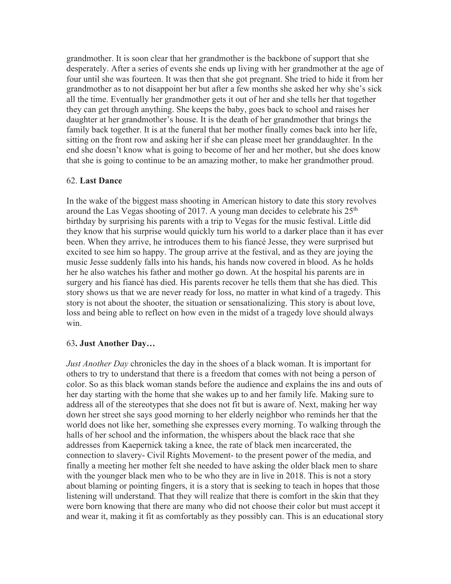grandmother. It is soon clear that her grandmother is the backbone of support that she desperately. After a series of events she ends up living with her grandmother at the age of four until she was fourteen. It was then that she got pregnant. She tried to hide it from her grandmother as to not disappoint her but after a few months she asked her why she's sick all the time. Eventually her grandmother gets it out of her and she tells her that together they can get through anything. She keeps the baby, goes back to school and raises her daughter at her grandmother's house. It is the death of her grandmother that brings the family back together. It is at the funeral that her mother finally comes back into her life, sitting on the front row and asking her if she can please meet her granddaughter. In the end she doesn't know what is going to become of her and her mother, but she does know that she is going to continue to be an amazing mother, to make her grandmother proud.

#### 62. **Last Dance**

In the wake of the biggest mass shooting in American history to date this story revolves around the Las Vegas shooting of 2017. A young man decides to celebrate his  $25<sup>th</sup>$ birthday by surprising his parents with a trip to Vegas for the music festival. Little did they know that his surprise would quickly turn his world to a darker place than it has ever been. When they arrive, he introduces them to his fiancé Jesse, they were surprised but excited to see him so happy. The group arrive at the festival, and as they are joying the music Jesse suddenly falls into his hands, his hands now covered in blood. As he holds her he also watches his father and mother go down. At the hospital his parents are in surgery and his fiancé has died. His parents recover he tells them that she has died. This story shows us that we are never ready for loss, no matter in what kind of a tragedy. This story is not about the shooter, the situation or sensationalizing. This story is about love, loss and being able to reflect on how even in the midst of a tragedy love should always win.

#### 63**. Just Another Day…**

*Just Another Day* chronicles the day in the shoes of a black woman. It is important for others to try to understand that there is a freedom that comes with not being a person of color. So as this black woman stands before the audience and explains the ins and outs of her day starting with the home that she wakes up to and her family life. Making sure to address all of the stereotypes that she does not fit but is aware of. Next, making her way down her street she says good morning to her elderly neighbor who reminds her that the world does not like her, something she expresses every morning. To walking through the halls of her school and the information, the whispers about the black race that she addresses from Kaepernick taking a knee, the rate of black men incarcerated, the connection to slavery- Civil Rights Movement- to the present power of the media, and finally a meeting her mother felt she needed to have asking the older black men to share with the younger black men who to be who they are in live in 2018. This is not a story about blaming or pointing fingers, it is a story that is seeking to teach in hopes that those listening will understand. That they will realize that there is comfort in the skin that they were born knowing that there are many who did not choose their color but must accept it and wear it, making it fit as comfortably as they possibly can. This is an educational story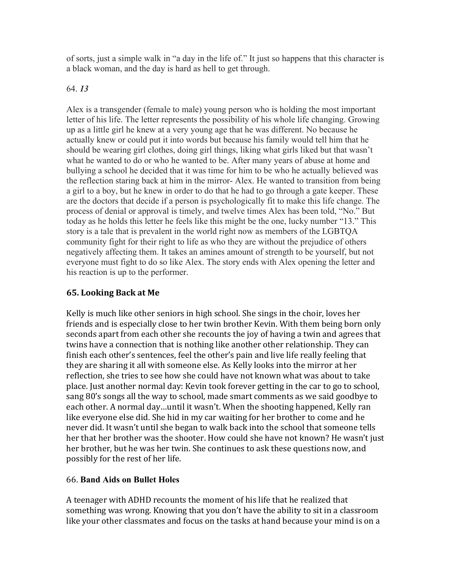of sorts, just a simple walk in "a day in the life of." It just so happens that this character is a black woman, and the day is hard as hell to get through.

### 64. *13*

Alex is a transgender (female to male) young person who is holding the most important letter of his life. The letter represents the possibility of his whole life changing. Growing up as a little girl he knew at a very young age that he was different. No because he actually knew or could put it into words but because his family would tell him that he should be wearing girl clothes, doing girl things, liking what girls liked but that wasn't what he wanted to do or who he wanted to be. After many years of abuse at home and bullying a school he decided that it was time for him to be who he actually believed was the reflection staring back at him in the mirror- Alex. He wanted to transition from being a girl to a boy, but he knew in order to do that he had to go through a gate keeper. These are the doctors that decide if a person is psychologically fit to make this life change. The process of denial or approval is timely, and twelve times Alex has been told, "No." But today as he holds this letter he feels like this might be the one, lucky number "13." This story is a tale that is prevalent in the world right now as members of the LGBTQA community fight for their right to life as who they are without the prejudice of others negatively affecting them. It takes an amines amount of strength to be yourself, but not everyone must fight to do so like Alex. The story ends with Alex opening the letter and his reaction is up to the performer.

## **65. Looking Back at Me**

Kelly is much like other seniors in high school. She sings in the choir, loves her friends and is especially close to her twin brother Kevin. With them being born only seconds apart from each other she recounts the joy of having a twin and agrees that twins have a connection that is nothing like another other relationship. They can finish each other's sentences, feel the other's pain and live life really feeling that they are sharing it all with someone else. As Kelly looks into the mirror at her reflection, she tries to see how she could have not known what was about to take place. Just another normal day: Kevin took forever getting in the car to go to school, sang 80's songs all the way to school, made smart comments as we said goodbye to each other. A normal day...until it wasn't. When the shooting happened, Kelly ran like everyone else did. She hid in my car waiting for her brother to come and he never did. It wasn't until she began to walk back into the school that someone tells her that her brother was the shooter. How could she have not known? He wasn't just her brother, but he was her twin. She continues to ask these questions now, and possibly for the rest of her life.

### 66. **Band Aids on Bullet Holes**

A teenager with ADHD recounts the moment of his life that he realized that something was wrong. Knowing that you don't have the ability to sit in a classroom like your other classmates and focus on the tasks at hand because your mind is on a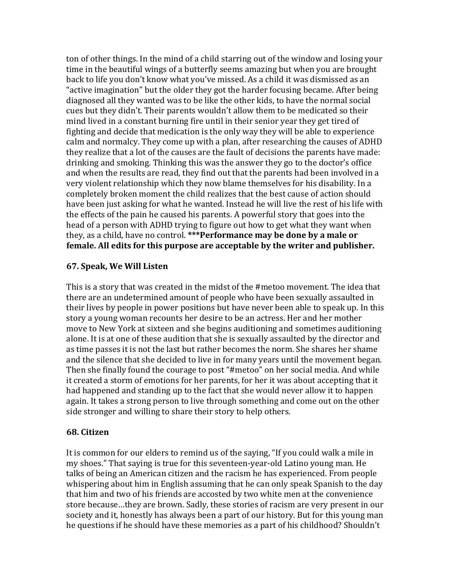ton of other things. In the mind of a child starring out of the window and losing your time in the beautiful wings of a butterfly seems amazing but when you are brought back to life you don't know what you've missed. As a child it was dismissed as an "active imagination" but the older they got the harder focusing became. After being diagnosed all they wanted was to be like the other kids, to have the normal social cues but they didn't. Their parents wouldn't allow them to be medicated so their mind lived in a constant burning fire until in their senior year they get tired of fighting and decide that medication is the only way they will be able to experience calm and normalcy. They come up with a plan, after researching the causes of ADHD they realize that a lot of the causes are the fault of decisions the parents have made: drinking and smoking. Thinking this was the answer they go to the doctor's office and when the results are read, they find out that the parents had been involved in a very violent relationship which they now blame themselves for his disability. In a completely broken moment the child realizes that the best cause of action should have been just asking for what he wanted. Instead he will live the rest of his life with the effects of the pain he caused his parents. A powerful story that goes into the head of a person with ADHD trying to figure out how to get what they want when they, as a child, have no control. \*\*\*Performance may be done by a male or female. All edits for this purpose are acceptable by the writer and publisher.

### **67. Speak, We Will Listen**

This is a story that was created in the midst of the #metoo movement. The idea that there are an undetermined amount of people who have been sexually assaulted in their lives by people in power positions but have never been able to speak up. In this story a young woman recounts her desire to be an actress. Her and her mother move to New York at sixteen and she begins auditioning and sometimes auditioning alone. It is at one of these audition that she is sexually assaulted by the director and as time passes it is not the last but rather becomes the norm. She shares her shame and the silence that she decided to live in for many years until the movement began. Then she finally found the courage to post "#metoo" on her social media. And while it created a storm of emotions for her parents, for her it was about accepting that it had happened and standing up to the fact that she would never allow it to happen again. It takes a strong person to live through something and come out on the other side stronger and willing to share their story to help others.

#### **68. Citizen**

It is common for our elders to remind us of the saying, "If you could walk a mile in my shoes." That saying is true for this seventeen-year-old Latino young man. He talks of being an American citizen and the racism he has experienced. From people whispering about him in English assuming that he can only speak Spanish to the day that him and two of his friends are accosted by two white men at the convenience store because...they are brown. Sadly, these stories of racism are very present in our society and it, honestly has always been a part of our history. But for this young man he questions if he should have these memories as a part of his childhood? Shouldn't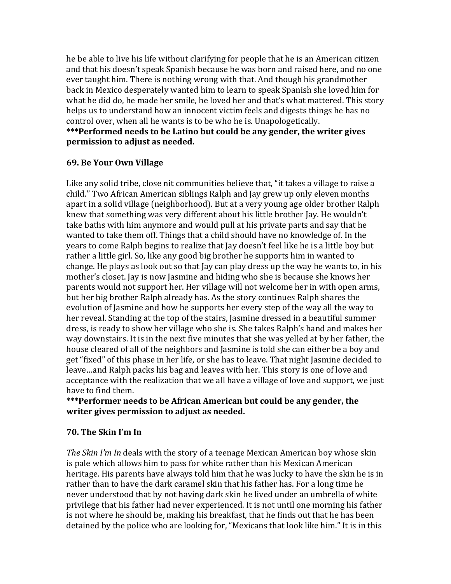he be able to live his life without clarifying for people that he is an American citizen and that his doesn't speak Spanish because he was born and raised here, and no one ever taught him. There is nothing wrong with that. And though his grandmother back in Mexico desperately wanted him to learn to speak Spanish she loved him for what he did do, he made her smile, he loved her and that's what mattered. This story helps us to understand how an innocent victim feels and digests things he has no control over, when all he wants is to be who he is. Unapologetically. \*\*\*Performed needs to be Latino but could be any gender, the writer gives **permission to adjust as needed.** 

### **69. Be Your Own Village**

Like any solid tribe, close nit communities believe that, "it takes a village to raise a child." Two African American siblings Ralph and Jay grew up only eleven months apart in a solid village (neighborhood). But at a very young age older brother Ralph knew that something was very different about his little brother Jay. He wouldn't take baths with him anymore and would pull at his private parts and say that he wanted to take them off. Things that a child should have no knowledge of. In the years to come Ralph begins to realize that Jay doesn't feel like he is a little boy but rather a little girl. So, like any good big brother he supports him in wanted to change. He plays as look out so that Jay can play dress up the way he wants to, in his mother's closet. Jay is now Jasmine and hiding who she is because she knows her parents would not support her. Her village will not welcome her in with open arms, but her big brother Ralph already has. As the story continues Ralph shares the evolution of Jasmine and how he supports her every step of the way all the way to her reveal. Standing at the top of the stairs, Jasmine dressed in a beautiful summer dress, is ready to show her village who she is. She takes Ralph's hand and makes her way downstairs. It is in the next five minutes that she was yelled at by her father, the house cleared of all of the neighbors and Jasmine is told she can either be a boy and get "fixed" of this phase in her life, or she has to leave. That night Jasmine decided to leave...and Ralph packs his bag and leaves with her. This story is one of love and acceptance with the realization that we all have a village of love and support, we just have to find them.

### \*\*\*Performer needs to be African American but could be any gender, the **writer gives permission to adjust as needed.**

### **70. The Skin I'm In**

*The Skin I'm In* deals with the story of a teenage Mexican American boy whose skin is pale which allows him to pass for white rather than his Mexican American heritage. His parents have always told him that he was lucky to have the skin he is in rather than to have the dark caramel skin that his father has. For a long time he never understood that by not having dark skin he lived under an umbrella of white privilege that his father had never experienced. It is not until one morning his father is not where he should be, making his breakfast, that he finds out that he has been detained by the police who are looking for, "Mexicans that look like him." It is in this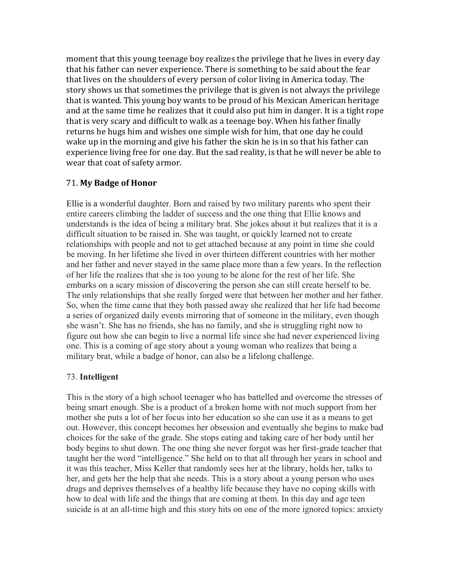moment that this young teenage boy realizes the privilege that he lives in every day that his father can never experience. There is something to be said about the fear that lives on the shoulders of every person of color living in America today. The story shows us that sometimes the privilege that is given is not always the privilege that is wanted. This young boy wants to be proud of his Mexican American heritage and at the same time he realizes that it could also put him in danger. It is a tight rope that is very scary and difficult to walk as a teenage boy. When his father finally returns he hugs him and wishes one simple wish for him, that one day he could wake up in the morning and give his father the skin he is in so that his father can experience living free for one day. But the sad reality, is that he will never be able to wear that coat of safety armor.

### 71. **My Badge of Honor**

Ellie is a wonderful daughter. Born and raised by two military parents who spent their entire careers climbing the ladder of success and the one thing that Ellie knows and understands is the idea of being a military brat. She jokes about it but realizes that it is a difficult situation to be raised in. She was taught, or quickly learned not to create relationships with people and not to get attached because at any point in time she could be moving. In her lifetime she lived in over thirteen different countries with her mother and her father and never stayed in the same place more than a few years. In the reflection of her life the realizes that she is too young to be alone for the rest of her life. She embarks on a scary mission of discovering the person she can still create herself to be. The only relationships that she really forged were that between her mother and her father. So, when the time came that they both passed away she realized that her life had become a series of organized daily events mirroring that of someone in the military, even though she wasn't. She has no friends, she has no family, and she is struggling right now to figure out how she can begin to live a normal life since she had never experienced living one. This is a coming of age story about a young woman who realizes that being a military brat, while a badge of honor, can also be a lifelong challenge.

#### 73. **Intelligent**

This is the story of a high school teenager who has battelled and overcome the stresses of being smart enough. She is a product of a broken home with not much support from her mother she puts a lot of her focus into her education so she can use it as a means to get out. However, this concept becomes her obsession and eventually she begins to make bad choices for the sake of the grade. She stops eating and taking care of her body until her body begins to shut down. The one thing she never forgot was her first-grade teacher that taught her the word "intelligence." She held on to that all through her years in school and it was this teacher, Miss Keller that randomly sees her at the library, holds her, talks to her, and gets her the help that she needs. This is a story about a young person who uses drugs and deprives themselves of a healthy life because they have no coping skills with how to deal with life and the things that are coming at them. In this day and age teen suicide is at an all-time high and this story hits on one of the more ignored topics: anxiety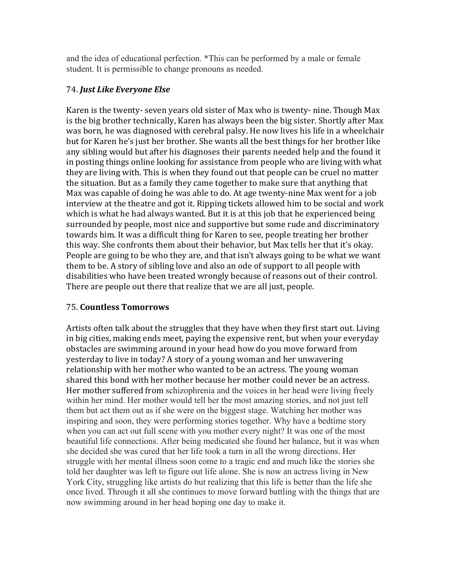and the idea of educational perfection. \*This can be performed by a male or female student. It is permissible to change pronouns as needed.

### 74. *Just Like Everyone Else*

Karen is the twenty- seven years old sister of Max who is twenty- nine. Though Max is the big brother technically, Karen has always been the big sister. Shortly after Max was born, he was diagnosed with cerebral palsy. He now lives his life in a wheelchair but for Karen he's just her brother. She wants all the best things for her brother like any sibling would but after his diagnoses their parents needed help and the found it in posting things online looking for assistance from people who are living with what they are living with. This is when they found out that people can be cruel no matter the situation. But as a family they came together to make sure that anything that Max was capable of doing he was able to do. At age twenty-nine Max went for a job interview at the theatre and got it. Ripping tickets allowed him to be social and work which is what he had always wanted. But it is at this job that he experienced being surrounded by people, most nice and supportive but some rude and discriminatory towards him. It was a difficult thing for Karen to see, people treating her brother this way. She confronts them about their behavior, but Max tells her that it's okay. People are going to be who they are, and that isn't always going to be what we want them to be. A story of sibling love and also an ode of support to all people with disabilities who have been treated wrongly because of reasons out of their control. There are people out there that realize that we are all just, people.

### 75. **Countless Tomorrows**

Artists often talk about the struggles that they have when they first start out. Living in big cities, making ends meet, paying the expensive rent, but when your everyday obstacles are swimming around in your head how do you move forward from yesterday to live in today? A story of a young woman and her unwavering relationship with her mother who wanted to be an actress. The young woman shared this bond with her mother because her mother could never be an actress. Her mother suffered from schizophrenia and the voices in her head were living freely within her mind. Her mother would tell her the most amazing stories, and not just tell them but act them out as if she were on the biggest stage. Watching her mother was inspiring and soon, they were performing stories together. Why have a bedtime story when you can act out full scene with you mother every night? It was one of the most beautiful life connections. After being medicated she found her balance, but it was when she decided she was cured that her life took a turn in all the wrong directions. Her struggle with her mental illness soon come to a tragic end and much like the stories she told her daughter was left to figure out life alone. She is now an actress living in New York City, struggling like artists do but realizing that this life is better than the life she once lived. Through it all she continues to move forward battling with the things that are now swimming around in her head hoping one day to make it.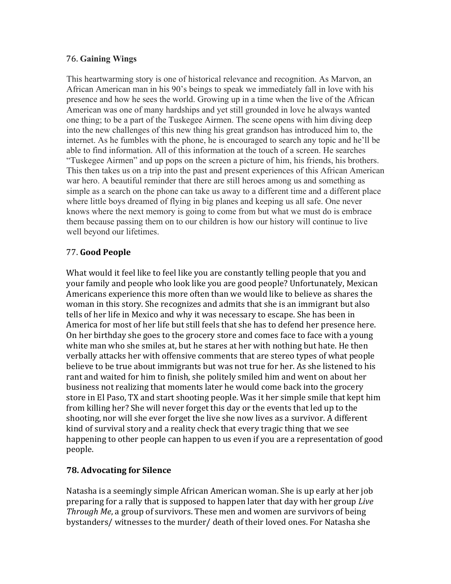### 76. **Gaining Wings**

This heartwarming story is one of historical relevance and recognition. As Marvon, an African American man in his 90's beings to speak we immediately fall in love with his presence and how he sees the world. Growing up in a time when the live of the African American was one of many hardships and yet still grounded in love he always wanted one thing; to be a part of the Tuskegee Airmen. The scene opens with him diving deep into the new challenges of this new thing his great grandson has introduced him to, the internet. As he fumbles with the phone, he is encouraged to search any topic and he'll be able to find information. All of this information at the touch of a screen. He searches "Tuskegee Airmen" and up pops on the screen a picture of him, his friends, his brothers. This then takes us on a trip into the past and present experiences of this African American war hero. A beautiful reminder that there are still heroes among us and something as simple as a search on the phone can take us away to a different time and a different place where little boys dreamed of flying in big planes and keeping us all safe. One never knows where the next memory is going to come from but what we must do is embrace them because passing them on to our children is how our history will continue to live well beyond our lifetimes.

## 77. **Good People**

What would it feel like to feel like you are constantly telling people that you and your family and people who look like you are good people? Unfortunately, Mexican Americans experience this more often than we would like to believe as shares the woman in this story. She recognizes and admits that she is an immigrant but also tells of her life in Mexico and why it was necessary to escape. She has been in America for most of her life but still feels that she has to defend her presence here. On her birthday she goes to the grocery store and comes face to face with a young white man who she smiles at, but he stares at her with nothing but hate. He then verbally attacks her with offensive comments that are stereo types of what people believe to be true about immigrants but was not true for her. As she listened to his rant and waited for him to finish, she politely smiled him and went on about her business not realizing that moments later he would come back into the grocery store in El Paso, TX and start shooting people. Was it her simple smile that kept him from killing her? She will never forget this day or the events that led up to the shooting, nor will she ever forget the live she now lives as a survivor. A different kind of survival story and a reality check that every tragic thing that we see happening to other people can happen to us even if you are a representation of good people. 

# **78. Advocating for Silence**

Natasha is a seemingly simple African American woman. She is up early at her job preparing for a rally that is supposed to happen later that day with her group *Live Through Me*, a group of survivors. These men and women are survivors of being bystanders/ witnesses to the murder/ death of their loved ones. For Natasha she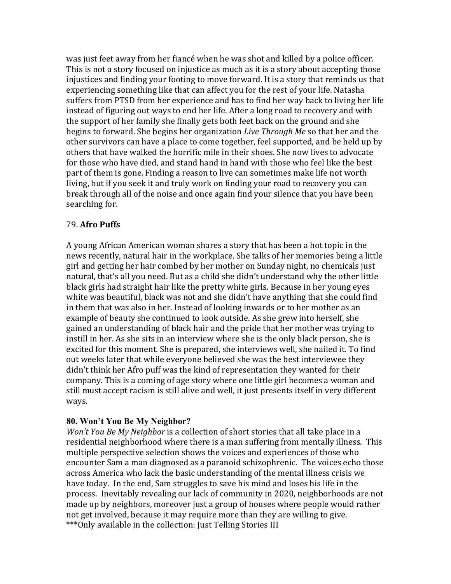was just feet away from her fiancé when he was shot and killed by a police officer. This is not a story focused on injustice as much as it is a story about accepting those injustices and finding your footing to move forward. It is a story that reminds us that experiencing something like that can affect you for the rest of your life. Natasha suffers from PTSD from her experience and has to find her way back to living her life instead of figuring out ways to end her life. After a long road to recovery and with the support of her family she finally gets both feet back on the ground and she begins to forward. She begins her organization *Live Through Me* so that her and the other survivors can have a place to come together, feel supported, and be held up by others that have walked the horrific mile in their shoes. She now lives to advocate for those who have died, and stand hand in hand with those who feel like the best part of them is gone. Finding a reason to live can sometimes make life not worth living, but if you seek it and truly work on finding your road to recovery you can break through all of the noise and once again find your silence that you have been searching for.

### 79. **Afro Puffs**

A young African American woman shares a story that has been a hot topic in the news recently, natural hair in the workplace. She talks of her memories being a little girl and getting her hair combed by her mother on Sunday night, no chemicals just natural, that's all you need. But as a child she didn't understand why the other little black girls had straight hair like the pretty white girls. Because in her young eyes white was beautiful, black was not and she didn't have anything that she could find in them that was also in her. Instead of looking inwards or to her mother as an example of beauty she continued to look outside. As she grew into herself, she gained an understanding of black hair and the pride that her mother was trying to instill in her. As she sits in an interview where she is the only black person, she is excited for this moment. She is prepared, she interviews well, she nailed it. To find out weeks later that while everyone believed she was the best interviewee they didn't think her Afro puff was the kind of representation they wanted for their company. This is a coming of age story where one little girl becomes a woman and still must accept racism is still alive and well, it just presents itself in very different ways.

#### **80. Won't You Be My Neighbor?**

*Won't You Be My Neighbor* is a collection of short stories that all take place in a residential neighborhood where there is a man suffering from mentally illness. This multiple perspective selection shows the voices and experiences of those who encounter Sam a man diagnosed as a paranoid schizophrenic. The voices echo those across America who lack the basic understanding of the mental illness crisis we have today. In the end, Sam struggles to save his mind and loses his life in the process. Inevitably revealing our lack of community in 2020, neighborhoods are not made up by neighbors, moreover just a group of houses where people would rather not get involved, because it may require more than they are willing to give. \*\*\*Only available in the collection: Just Telling Stories III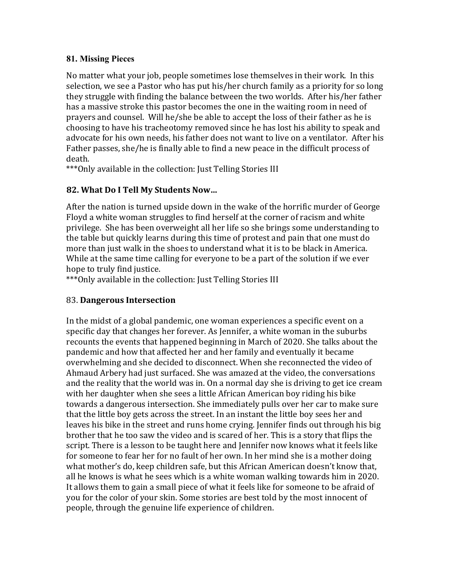### **81. Missing Pieces**

No matter what your job, people sometimes lose themselves in their work. In this selection, we see a Pastor who has put his/her church family as a priority for so long they struggle with finding the balance between the two worlds. After his/her father has a massive stroke this pastor becomes the one in the waiting room in need of prayers and counsel. Will he/she be able to accept the loss of their father as he is choosing to have his tracheotomy removed since he has lost his ability to speak and advocate for his own needs, his father does not want to live on a ventilator. After his Father passes, she/he is finally able to find a new peace in the difficult process of death.

\*\*\* Only available in the collection: Just Telling Stories III

## **82. What Do I Tell My Students Now…**

After the nation is turned upside down in the wake of the horrific murder of George Floyd a white woman struggles to find herself at the corner of racism and white privilege. She has been overweight all her life so she brings some understanding to the table but quickly learns during this time of protest and pain that one must do more than just walk in the shoes to understand what it is to be black in America. While at the same time calling for everyone to be a part of the solution if we ever hope to truly find justice.

\*\*\* Only available in the collection: Just Telling Stories III

### 83. **Dangerous Intersection**

In the midst of a global pandemic, one woman experiences a specific event on a specific day that changes her forever. As Jennifer, a white woman in the suburbs recounts the events that happened beginning in March of 2020. She talks about the pandemic and how that affected her and her family and eventually it became overwhelming and she decided to disconnect. When she reconnected the video of Ahmaud Arbery had just surfaced. She was amazed at the video, the conversations and the reality that the world was in. On a normal day she is driving to get ice cream with her daughter when she sees a little African American boy riding his bike towards a dangerous intersection. She immediately pulls over her car to make sure that the little boy gets across the street. In an instant the little boy sees her and leaves his bike in the street and runs home crying. Jennifer finds out through his big brother that he too saw the video and is scared of her. This is a story that flips the script. There is a lesson to be taught here and Jennifer now knows what it feels like for someone to fear her for no fault of her own. In her mind she is a mother doing what mother's do, keep children safe, but this African American doesn't know that, all he knows is what he sees which is a white woman walking towards him in 2020. It allows them to gain a small piece of what it feels like for someone to be afraid of you for the color of your skin. Some stories are best told by the most innocent of people, through the genuine life experience of children.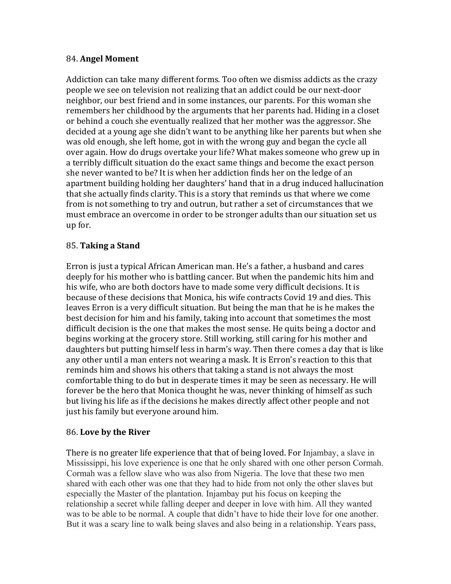### 84. **Angel Moment**

Addiction can take many different forms. Too often we dismiss addicts as the crazy people we see on television not realizing that an addict could be our next-door neighbor, our best friend and in some instances, our parents. For this woman she remembers her childhood by the arguments that her parents had. Hiding in a closet or behind a couch she eventually realized that her mother was the aggressor. She decided at a young age she didn't want to be anything like her parents but when she was old enough, she left home, got in with the wrong guy and began the cycle all over again. How do drugs overtake your life? What makes someone who grew up in a terribly difficult situation do the exact same things and become the exact person she never wanted to be? It is when her addiction finds her on the ledge of an apartment building holding her daughters' hand that in a drug induced hallucination that she actually finds clarity. This is a story that reminds us that where we come from is not something to try and outrun, but rather a set of circumstances that we must embrace an overcome in order to be stronger adults than our situation set us up for. 

### 85. **Taking a Stand**

Erron is just a typical African American man. He's a father, a husband and cares deeply for his mother who is battling cancer. But when the pandemic hits him and his wife, who are both doctors have to made some very difficult decisions. It is because of these decisions that Monica, his wife contracts Covid 19 and dies. This leaves Erron is a very difficult situation. But being the man that he is he makes the best decision for him and his family, taking into account that sometimes the most difficult decision is the one that makes the most sense. He quits being a doctor and begins working at the grocery store. Still working, still caring for his mother and daughters but putting himself less in harm's way. Then there comes a day that is like any other until a man enters not wearing a mask. It is Erron's reaction to this that reminds him and shows his others that taking a stand is not always the most comfortable thing to do but in desperate times it may be seen as necessary. He will forever be the hero that Monica thought he was, never thinking of himself as such but living his life as if the decisions he makes directly affect other people and not just his family but everyone around him.

#### 86. **Love by the River**

There is no greater life experience that that of being loved. For Injambay, a slave in Mississippi, his love experience is one that he only shared with one other person Cormah. Cormah was a fellow slave who was also from Nigeria. The love that these two men shared with each other was one that they had to hide from not only the other slaves but especially the Master of the plantation. Injambay put his focus on keeping the relationship a secret while falling deeper and deeper in love with him. All they wanted was to be able to be normal. A couple that didn't have to hide their love for one another. But it was a scary line to walk being slaves and also being in a relationship. Years pass,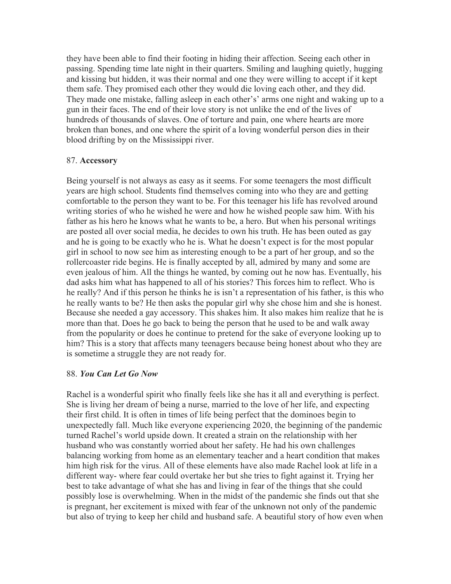they have been able to find their footing in hiding their affection. Seeing each other in passing. Spending time late night in their quarters. Smiling and laughing quietly, hugging and kissing but hidden, it was their normal and one they were willing to accept if it kept them safe. They promised each other they would die loving each other, and they did. They made one mistake, falling asleep in each other's' arms one night and waking up to a gun in their faces. The end of their love story is not unlike the end of the lives of hundreds of thousands of slaves. One of torture and pain, one where hearts are more broken than bones, and one where the spirit of a loving wonderful person dies in their blood drifting by on the Mississippi river.

#### 87. **Accessory**

Being yourself is not always as easy as it seems. For some teenagers the most difficult years are high school. Students find themselves coming into who they are and getting comfortable to the person they want to be. For this teenager his life has revolved around writing stories of who he wished he were and how he wished people saw him. With his father as his hero he knows what he wants to be, a hero. But when his personal writings are posted all over social media, he decides to own his truth. He has been outed as gay and he is going to be exactly who he is. What he doesn't expect is for the most popular girl in school to now see him as interesting enough to be a part of her group, and so the rollercoaster ride begins. He is finally accepted by all, admired by many and some are even jealous of him. All the things he wanted, by coming out he now has. Eventually, his dad asks him what has happened to all of his stories? This forces him to reflect. Who is he really? And if this person he thinks he is isn't a representation of his father, is this who he really wants to be? He then asks the popular girl why she chose him and she is honest. Because she needed a gay accessory. This shakes him. It also makes him realize that he is more than that. Does he go back to being the person that he used to be and walk away from the popularity or does he continue to pretend for the sake of everyone looking up to him? This is a story that affects many teenagers because being honest about who they are is sometime a struggle they are not ready for.

#### 88. *You Can Let Go Now*

Rachel is a wonderful spirit who finally feels like she has it all and everything is perfect. She is living her dream of being a nurse, married to the love of her life, and expecting their first child. It is often in times of life being perfect that the dominoes begin to unexpectedly fall. Much like everyone experiencing 2020, the beginning of the pandemic turned Rachel's world upside down. It created a strain on the relationship with her husband who was constantly worried about her safety. He had his own challenges balancing working from home as an elementary teacher and a heart condition that makes him high risk for the virus. All of these elements have also made Rachel look at life in a different way- where fear could overtake her but she tries to fight against it. Trying her best to take advantage of what she has and living in fear of the things that she could possibly lose is overwhelming. When in the midst of the pandemic she finds out that she is pregnant, her excitement is mixed with fear of the unknown not only of the pandemic but also of trying to keep her child and husband safe. A beautiful story of how even when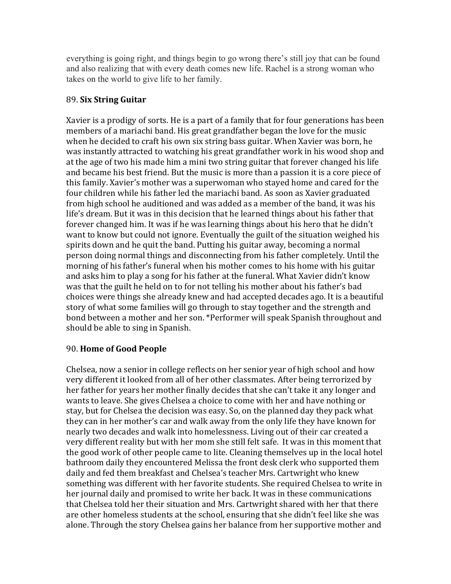everything is going right, and things begin to go wrong there's still joy that can be found and also realizing that with every death comes new life. Rachel is a strong woman who takes on the world to give life to her family.

### 89. **Six String Guitar**

Xavier is a prodigy of sorts. He is a part of a family that for four generations has been members of a mariachi band. His great grandfather began the love for the music when he decided to craft his own six string bass guitar. When Xavier was born, he was instantly attracted to watching his great grandfather work in his wood shop and at the age of two his made him a mini two string guitar that forever changed his life and became his best friend. But the music is more than a passion it is a core piece of this family. Xavier's mother was a superwoman who stayed home and cared for the four children while his father led the mariachi band. As soon as Xavier graduated from high school he auditioned and was added as a member of the band, it was his life's dream. But it was in this decision that he learned things about his father that forever changed him. It was if he was learning things about his hero that he didn't want to know but could not ignore. Eventually the guilt of the situation weighed his spirits down and he quit the band. Putting his guitar away, becoming a normal person doing normal things and disconnecting from his father completely. Until the morning of his father's funeral when his mother comes to his home with his guitar and asks him to play a song for his father at the funeral. What Xavier didn't know was that the guilt he held on to for not telling his mother about his father's bad choices were things she already knew and had accepted decades ago. It is a beautiful story of what some families will go through to stay together and the strength and bond between a mother and her son. \*Performer will speak Spanish throughout and should be able to sing in Spanish.

# 90. **Home of Good People**

Chelsea, now a senior in college reflects on her senior year of high school and how very different it looked from all of her other classmates. After being terrorized by her father for years her mother finally decides that she can't take it any longer and wants to leave. She gives Chelsea a choice to come with her and have nothing or stay, but for Chelsea the decision was easy. So, on the planned day they pack what they can in her mother's car and walk away from the only life they have known for nearly two decades and walk into homelessness. Living out of their car created a very different reality but with her mom she still felt safe. It was in this moment that the good work of other people came to lite. Cleaning themselves up in the local hotel bathroom daily they encountered Melissa the front desk clerk who supported them daily and fed them breakfast and Chelsea's teacher Mrs. Cartwright who knew something was different with her favorite students. She required Chelsea to write in her journal daily and promised to write her back. It was in these communications that Chelsea told her their situation and Mrs. Cartwright shared with her that there are other homeless students at the school, ensuring that she didn't feel like she was alone. Through the story Chelsea gains her balance from her supportive mother and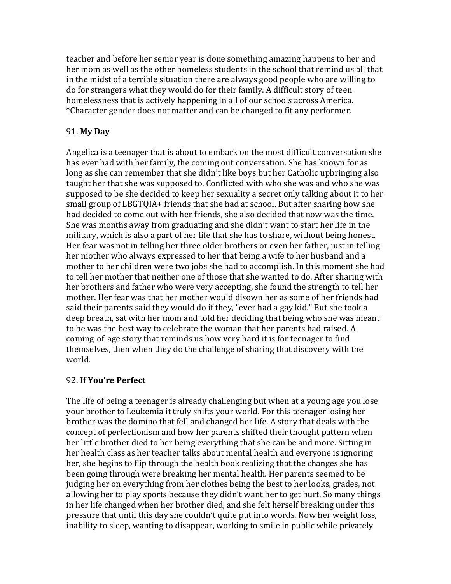teacher and before her senior year is done something amazing happens to her and her mom as well as the other homeless students in the school that remind us all that in the midst of a terrible situation there are always good people who are willing to do for strangers what they would do for their family. A difficult story of teen homelessness that is actively happening in all of our schools across America. \*Character gender does not matter and can be changed to fit any performer. 

### 91. **My Day**

Angelica is a teenager that is about to embark on the most difficult conversation she has ever had with her family, the coming out conversation. She has known for as long as she can remember that she didn't like boys but her Catholic upbringing also taught her that she was supposed to. Conflicted with who she was and who she was supposed to be she decided to keep her sexuality a secret only talking about it to her small group of LBGTQIA+ friends that she had at school. But after sharing how she had decided to come out with her friends, she also decided that now was the time. She was months away from graduating and she didn't want to start her life in the military, which is also a part of her life that she has to share, without being honest. Her fear was not in telling her three older brothers or even her father, just in telling her mother who always expressed to her that being a wife to her husband and a mother to her children were two jobs she had to accomplish. In this moment she had to tell her mother that neither one of those that she wanted to do. After sharing with her brothers and father who were very accepting, she found the strength to tell her mother. Her fear was that her mother would disown her as some of her friends had said their parents said they would do if they, "ever had a gay kid." But she took a deep breath, sat with her mom and told her deciding that being who she was meant to be was the best way to celebrate the woman that her parents had raised. A coming-of-age story that reminds us how very hard it is for teenager to find themselves, then when they do the challenge of sharing that discovery with the world. 

### 92. **If You're Perfect**

The life of being a teenager is already challenging but when at a young age you lose your brother to Leukemia it truly shifts your world. For this teenager losing her brother was the domino that fell and changed her life. A story that deals with the concept of perfectionism and how her parents shifted their thought pattern when her little brother died to her being everything that she can be and more. Sitting in her health class as her teacher talks about mental health and everyone is ignoring her, she begins to flip through the health book realizing that the changes she has been going through were breaking her mental health. Her parents seemed to be judging her on everything from her clothes being the best to her looks, grades, not allowing her to play sports because they didn't want her to get hurt. So many things in her life changed when her brother died, and she felt herself breaking under this pressure that until this day she couldn't quite put into words. Now her weight loss, inability to sleep, wanting to disappear, working to smile in public while privately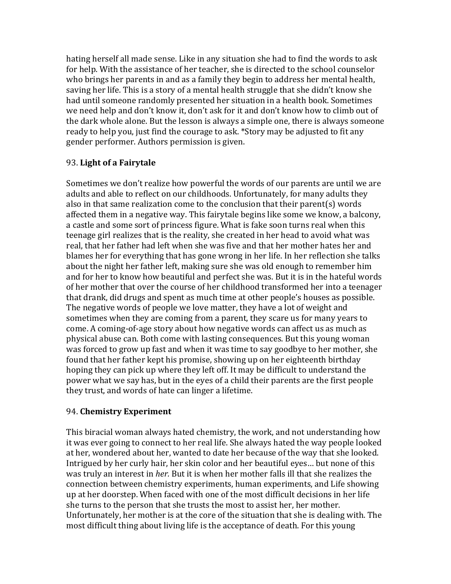hating herself all made sense. Like in any situation she had to find the words to ask for help. With the assistance of her teacher, she is directed to the school counselor who brings her parents in and as a family they begin to address her mental health, saving her life. This is a story of a mental health struggle that she didn't know she had until someone randomly presented her situation in a health book. Sometimes we need help and don't know it, don't ask for it and don't know how to climb out of the dark whole alone. But the lesson is always a simple one, there is always someone ready to help you, just find the courage to ask. \*Story may be adjusted to fit any gender performer. Authors permission is given.

## 93. Light of a Fairytale

Sometimes we don't realize how powerful the words of our parents are until we are adults and able to reflect on our childhoods. Unfortunately, for many adults they also in that same realization come to the conclusion that their parent(s) words affected them in a negative way. This fairytale begins like some we know, a balcony, a castle and some sort of princess figure. What is fake soon turns real when this teenage girl realizes that is the reality, she created in her head to avoid what was real, that her father had left when she was five and that her mother hates her and blames her for everything that has gone wrong in her life. In her reflection she talks about the night her father left, making sure she was old enough to remember him and for her to know how beautiful and perfect she was. But it is in the hateful words of her mother that over the course of her childhood transformed her into a teenager that drank, did drugs and spent as much time at other people's houses as possible. The negative words of people we love matter, they have a lot of weight and sometimes when they are coming from a parent, they scare us for many years to come. A coming-of-age story about how negative words can affect us as much as physical abuse can. Both come with lasting consequences. But this young woman was forced to grow up fast and when it was time to say goodbye to her mother, she found that her father kept his promise, showing up on her eighteenth birthday hoping they can pick up where they left off. It may be difficult to understand the power what we say has, but in the eyes of a child their parents are the first people they trust, and words of hate can linger a lifetime.

### 94. **Chemistry Experiment**

This biracial woman always hated chemistry, the work, and not understanding how it was ever going to connect to her real life. She always hated the way people looked at her, wondered about her, wanted to date her because of the way that she looked. Intrigued by her curly hair, her skin color and her beautiful eyes... but none of this was truly an interest in *her.* But it is when her mother falls ill that she realizes the connection between chemistry experiments, human experiments, and Life showing up at her doorstep. When faced with one of the most difficult decisions in her life she turns to the person that she trusts the most to assist her, her mother. Unfortunately, her mother is at the core of the situation that she is dealing with. The most difficult thing about living life is the acceptance of death. For this young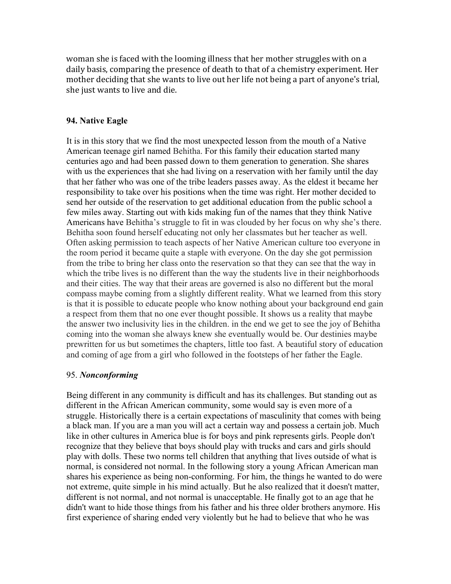woman she is faced with the looming illness that her mother struggles with on a daily basis, comparing the presence of death to that of a chemistry experiment. Her mother deciding that she wants to live out her life not being a part of anyone's trial, she just wants to live and die.

#### **94. Native Eagle**

It is in this story that we find the most unexpected lesson from the mouth of a Native American teenage girl named Behitha. For this family their education started many centuries ago and had been passed down to them generation to generation. She shares with us the experiences that she had living on a reservation with her family until the day that her father who was one of the tribe leaders passes away. As the eldest it became her responsibility to take over his positions when the time was right. Her mother decided to send her outside of the reservation to get additional education from the public school a few miles away. Starting out with kids making fun of the names that they think Native Americans have Behitha's struggle to fit in was clouded by her focus on why she's there. Behitha soon found herself educating not only her classmates but her teacher as well. Often asking permission to teach aspects of her Native American culture too everyone in the room period it became quite a staple with everyone. On the day she got permission from the tribe to bring her class onto the reservation so that they can see that the way in which the tribe lives is no different than the way the students live in their neighborhoods and their cities. The way that their areas are governed is also no different but the moral compass maybe coming from a slightly different reality. What we learned from this story is that it is possible to educate people who know nothing about your background end gain a respect from them that no one ever thought possible. It shows us a reality that maybe the answer two inclusivity lies in the children. in the end we get to see the joy of Behitha coming into the woman she always knew she eventually would be. Our destinies maybe prewritten for us but sometimes the chapters, little too fast. A beautiful story of education and coming of age from a girl who followed in the footsteps of her father the Eagle.

#### 95. *Nonconforming*

Being different in any community is difficult and has its challenges. But standing out as different in the African American community, some would say is even more of a struggle. Historically there is a certain expectations of masculinity that comes with being a black man. If you are a man you will act a certain way and possess a certain job. Much like in other cultures in America blue is for boys and pink represents girls. People don't recognize that they believe that boys should play with trucks and cars and girls should play with dolls. These two norms tell children that anything that lives outside of what is normal, is considered not normal. In the following story a young African American man shares his experience as being non-conforming. For him, the things he wanted to do were not extreme, quite simple in his mind actually. But he also realized that it doesn't matter, different is not normal, and not normal is unacceptable. He finally got to an age that he didn't want to hide those things from his father and his three older brothers anymore. His first experience of sharing ended very violently but he had to believe that who he was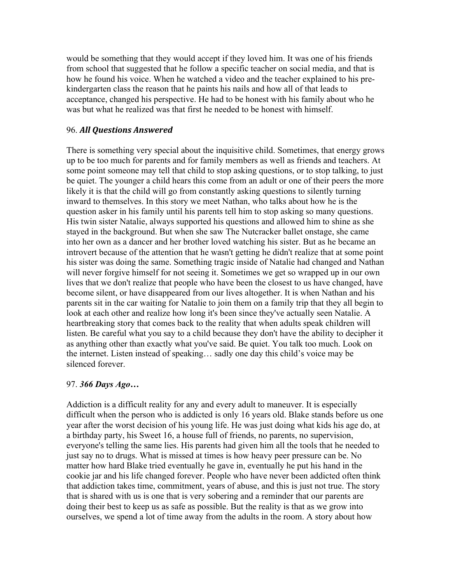would be something that they would accept if they loved him. It was one of his friends from school that suggested that he follow a specific teacher on social media, and that is how he found his voice. When he watched a video and the teacher explained to his prekindergarten class the reason that he paints his nails and how all of that leads to acceptance, changed his perspective. He had to be honest with his family about who he was but what he realized was that first he needed to be honest with himself.

#### 96. *All Questions Answered*

There is something very special about the inquisitive child. Sometimes, that energy grows up to be too much for parents and for family members as well as friends and teachers. At some point someone may tell that child to stop asking questions, or to stop talking, to just be quiet. The younger a child hears this come from an adult or one of their peers the more likely it is that the child will go from constantly asking questions to silently turning inward to themselves. In this story we meet Nathan, who talks about how he is the question asker in his family until his parents tell him to stop asking so many questions. His twin sister Natalie, always supported his questions and allowed him to shine as she stayed in the background. But when she saw The Nutcracker ballet onstage, she came into her own as a dancer and her brother loved watching his sister. But as he became an introvert because of the attention that he wasn't getting he didn't realize that at some point his sister was doing the same. Something tragic inside of Natalie had changed and Nathan will never forgive himself for not seeing it. Sometimes we get so wrapped up in our own lives that we don't realize that people who have been the closest to us have changed, have become silent, or have disappeared from our lives altogether. It is when Nathan and his parents sit in the car waiting for Natalie to join them on a family trip that they all begin to look at each other and realize how long it's been since they've actually seen Natalie. A heartbreaking story that comes back to the reality that when adults speak children will listen. Be careful what you say to a child because they don't have the ability to decipher it as anything other than exactly what you've said. Be quiet. You talk too much. Look on the internet. Listen instead of speaking… sadly one day this child's voice may be silenced forever.

#### 97. *366 Days Ago…*

Addiction is a difficult reality for any and every adult to maneuver. It is especially difficult when the person who is addicted is only 16 years old. Blake stands before us one year after the worst decision of his young life. He was just doing what kids his age do, at a birthday party, his Sweet 16, a house full of friends, no parents, no supervision, everyone's telling the same lies. His parents had given him all the tools that he needed to just say no to drugs. What is missed at times is how heavy peer pressure can be. No matter how hard Blake tried eventually he gave in, eventually he put his hand in the cookie jar and his life changed forever. People who have never been addicted often think that addiction takes time, commitment, years of abuse, and this is just not true. The story that is shared with us is one that is very sobering and a reminder that our parents are doing their best to keep us as safe as possible. But the reality is that as we grow into ourselves, we spend a lot of time away from the adults in the room. A story about how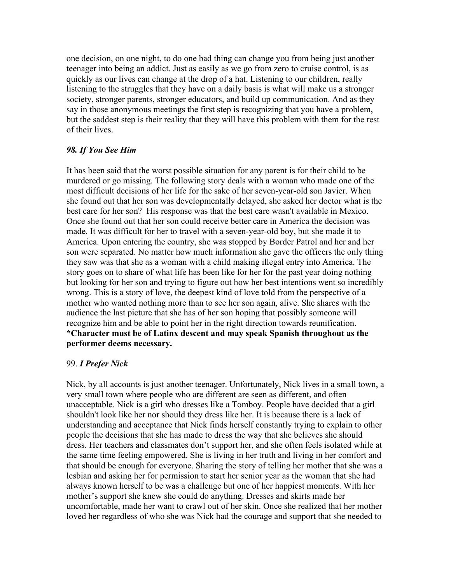one decision, on one night, to do one bad thing can change you from being just another teenager into being an addict. Just as easily as we go from zero to cruise control, is as quickly as our lives can change at the drop of a hat. Listening to our children, really listening to the struggles that they have on a daily basis is what will make us a stronger society, stronger parents, stronger educators, and build up communication. And as they say in those anonymous meetings the first step is recognizing that you have a problem, but the saddest step is their reality that they will have this problem with them for the rest of their lives.

#### *98. If You See Him*

It has been said that the worst possible situation for any parent is for their child to be murdered or go missing. The following story deals with a woman who made one of the most difficult decisions of her life for the sake of her seven-year-old son Javier. When she found out that her son was developmentally delayed, she asked her doctor what is the best care for her son? His response was that the best care wasn't available in Mexico. Once she found out that her son could receive better care in America the decision was made. It was difficult for her to travel with a seven-year-old boy, but she made it to America. Upon entering the country, she was stopped by Border Patrol and her and her son were separated. No matter how much information she gave the officers the only thing they saw was that she as a woman with a child making illegal entry into America. The story goes on to share of what life has been like for her for the past year doing nothing but looking for her son and trying to figure out how her best intentions went so incredibly wrong. This is a story of love, the deepest kind of love told from the perspective of a mother who wanted nothing more than to see her son again, alive. She shares with the audience the last picture that she has of her son hoping that possibly someone will recognize him and be able to point her in the right direction towards reunification. **\*Character must be of Latinx descent and may speak Spanish throughout as the performer deems necessary.**

#### 99. *I Prefer Nick*

Nick, by all accounts is just another teenager. Unfortunately, Nick lives in a small town, a very small town where people who are different are seen as different, and often unacceptable. Nick is a girl who dresses like a Tomboy. People have decided that a girl shouldn't look like her nor should they dress like her. It is because there is a lack of understanding and acceptance that Nick finds herself constantly trying to explain to other people the decisions that she has made to dress the way that she believes she should dress. Her teachers and classmates don't support her, and she often feels isolated while at the same time feeling empowered. She is living in her truth and living in her comfort and that should be enough for everyone. Sharing the story of telling her mother that she was a lesbian and asking her for permission to start her senior year as the woman that she had always known herself to be was a challenge but one of her happiest moments. With her mother's support she knew she could do anything. Dresses and skirts made her uncomfortable, made her want to crawl out of her skin. Once she realized that her mother loved her regardless of who she was Nick had the courage and support that she needed to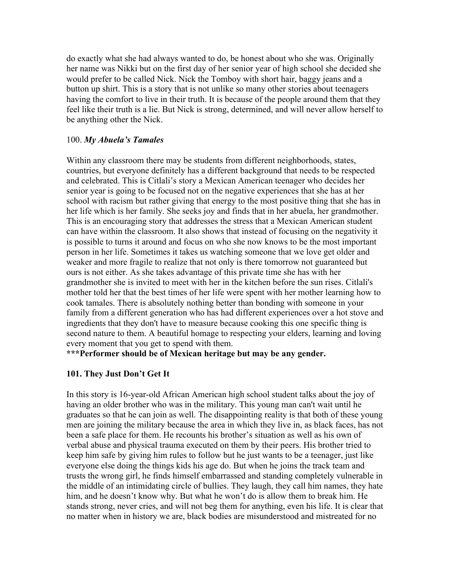do exactly what she had always wanted to do, be honest about who she was. Originally her name was Nikki but on the first day of her senior year of high school she decided she would prefer to be called Nick. Nick the Tomboy with short hair, baggy jeans and a button up shirt. This is a story that is not unlike so many other stories about teenagers having the comfort to live in their truth. It is because of the people around them that they feel like their truth is a lie. But Nick is strong, determined, and will never allow herself to be anything other the Nick.

#### 100. *My Abuela's Tamales*

Within any classroom there may be students from different neighborhoods, states, countries, but everyone definitely has a different background that needs to be respected and celebrated. This is Citlali's story a Mexican American teenager who decides her senior year is going to be focused not on the negative experiences that she has at her school with racism but rather giving that energy to the most positive thing that she has in her life which is her family. She seeks joy and finds that in her abuela, her grandmother. This is an encouraging story that addresses the stress that a Mexican American student can have within the classroom. It also shows that instead of focusing on the negativity it is possible to turns it around and focus on who she now knows to be the most important person in her life. Sometimes it takes us watching someone that we love get older and weaker and more fragile to realize that not only is there tomorrow not guaranteed but ours is not either. As she takes advantage of this private time she has with her grandmother she is invited to meet with her in the kitchen before the sun rises. Citlali's mother told her that the best times of her life were spent with her mother learning how to cook tamales. There is absolutely nothing better than bonding with someone in your family from a different generation who has had different experiences over a hot stove and ingredients that they don't have to measure because cooking this one specific thing is second nature to them. A beautiful homage to respecting your elders, learning and loving every moment that you get to spend with them.

**\*\*\*Performer should be of Mexican heritage but may be any gender.**

### **101. They Just Don't Get It**

In this story is 16-year-old African American high school student talks about the joy of having an older brother who was in the military. This young man can't wait until he graduates so that he can join as well. The disappointing reality is that both of these young men are joining the military because the area in which they live in, as black faces, has not been a safe place for them. He recounts his brother's situation as well as his own of verbal abuse and physical trauma executed on them by their peers. His brother tried to keep him safe by giving him rules to follow but he just wants to be a teenager, just like everyone else doing the things kids his age do. But when he joins the track team and trusts the wrong girl, he finds himself embarrassed and standing completely vulnerable in the middle of an intimidating circle of bullies. They laugh, they call him names, they hate him, and he doesn't know why. But what he won't do is allow them to break him. He stands strong, never cries, and will not beg them for anything, even his life. It is clear that no matter when in history we are, black bodies are misunderstood and mistreated for no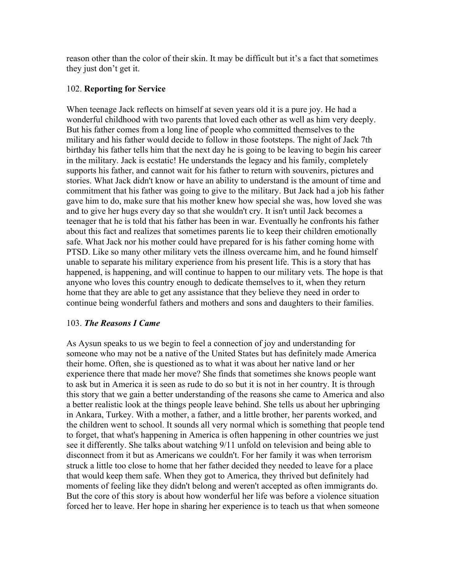reason other than the color of their skin. It may be difficult but it's a fact that sometimes they just don't get it.

### 102. **Reporting for Service**

When teenage Jack reflects on himself at seven years old it is a pure joy. He had a wonderful childhood with two parents that loved each other as well as him very deeply. But his father comes from a long line of people who committed themselves to the military and his father would decide to follow in those footsteps. The night of Jack 7th birthday his father tells him that the next day he is going to be leaving to begin his career in the military. Jack is ecstatic! He understands the legacy and his family, completely supports his father, and cannot wait for his father to return with souvenirs, pictures and stories. What Jack didn't know or have an ability to understand is the amount of time and commitment that his father was going to give to the military. But Jack had a job his father gave him to do, make sure that his mother knew how special she was, how loved she was and to give her hugs every day so that she wouldn't cry. It isn't until Jack becomes a teenager that he is told that his father has been in war. Eventually he confronts his father about this fact and realizes that sometimes parents lie to keep their children emotionally safe. What Jack nor his mother could have prepared for is his father coming home with PTSD. Like so many other military vets the illness overcame him, and he found himself unable to separate his military experience from his present life. This is a story that has happened, is happening, and will continue to happen to our military vets. The hope is that anyone who loves this country enough to dedicate themselves to it, when they return home that they are able to get any assistance that they believe they need in order to continue being wonderful fathers and mothers and sons and daughters to their families.

### 103. *The Reasons I Came*

As Aysun speaks to us we begin to feel a connection of joy and understanding for someone who may not be a native of the United States but has definitely made America their home. Often, she is questioned as to what it was about her native land or her experience there that made her move? She finds that sometimes she knows people want to ask but in America it is seen as rude to do so but it is not in her country. It is through this story that we gain a better understanding of the reasons she came to America and also a better realistic look at the things people leave behind. She tells us about her upbringing in Ankara, Turkey. With a mother, a father, and a little brother, her parents worked, and the children went to school. It sounds all very normal which is something that people tend to forget, that what's happening in America is often happening in other countries we just see it differently. She talks about watching 9/11 unfold on television and being able to disconnect from it but as Americans we couldn't. For her family it was when terrorism struck a little too close to home that her father decided they needed to leave for a place that would keep them safe. When they got to America, they thrived but definitely had moments of feeling like they didn't belong and weren't accepted as often immigrants do. But the core of this story is about how wonderful her life was before a violence situation forced her to leave. Her hope in sharing her experience is to teach us that when someone